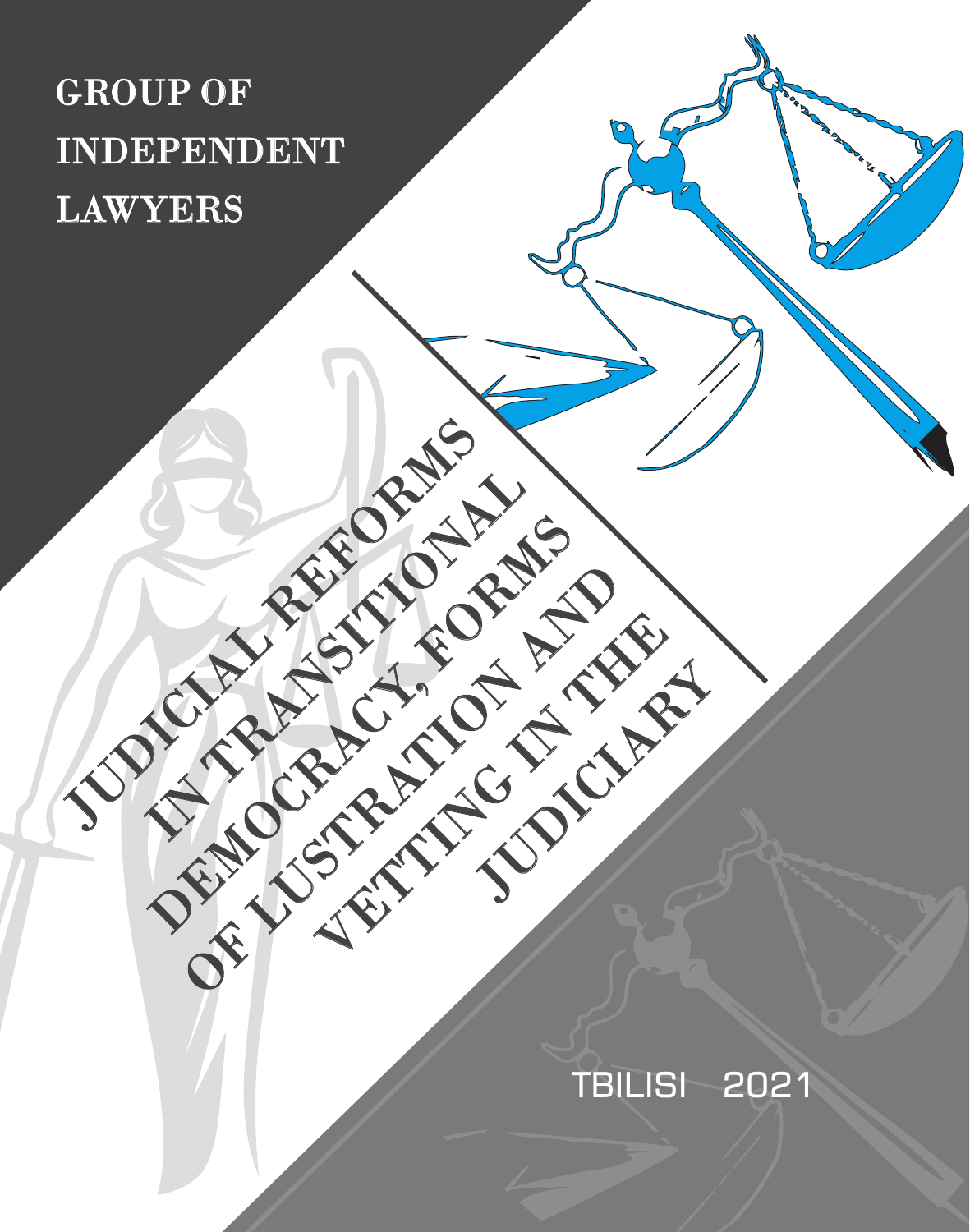# GROUP OF INDEPENDENT LAWYERS

JUDICIAL REFORMS

DEMOCRACY, FORMS

OF LUSTRATION AND

VETTING IN THE

JUDICIAN SERIES

# TBILISI 2021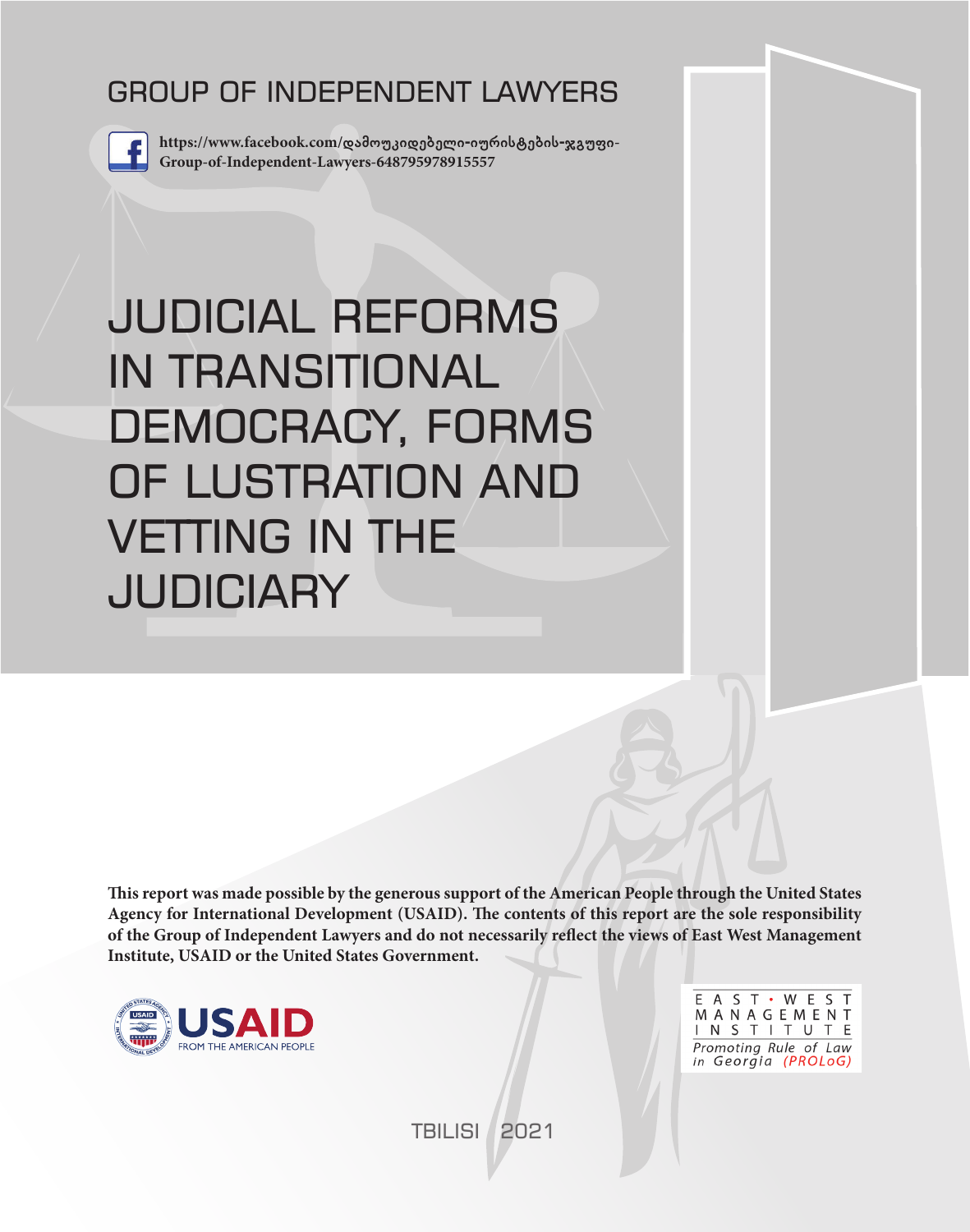# GROUP OF INDEPENDENT LAWYERS



**https://www.facebook.com/დამოუკიდებელი-იურისტების-ჯგუფი-Group-of-Independent-Lawyers-648795978915557**

# JUDICIAL REFORMS IN TRANSITIONAL DEMOCRACY, FORMS OF LUSTRATION AND VETTING IN THE **JUDICIARY**

**This report was made possible by the generous support of the American People through the United States Agency for International Development (USAID). The contents of this report are the sole responsibility of the Group of Independent Lawyers and do not necessarily reflect the views of East West Management Institute, USAID or the United States Government.**



E A S T · W E S T MANAGEMENT INSTITUTE Promoting Rule of Law in Georgia (PROLoG)

TBILISI 2021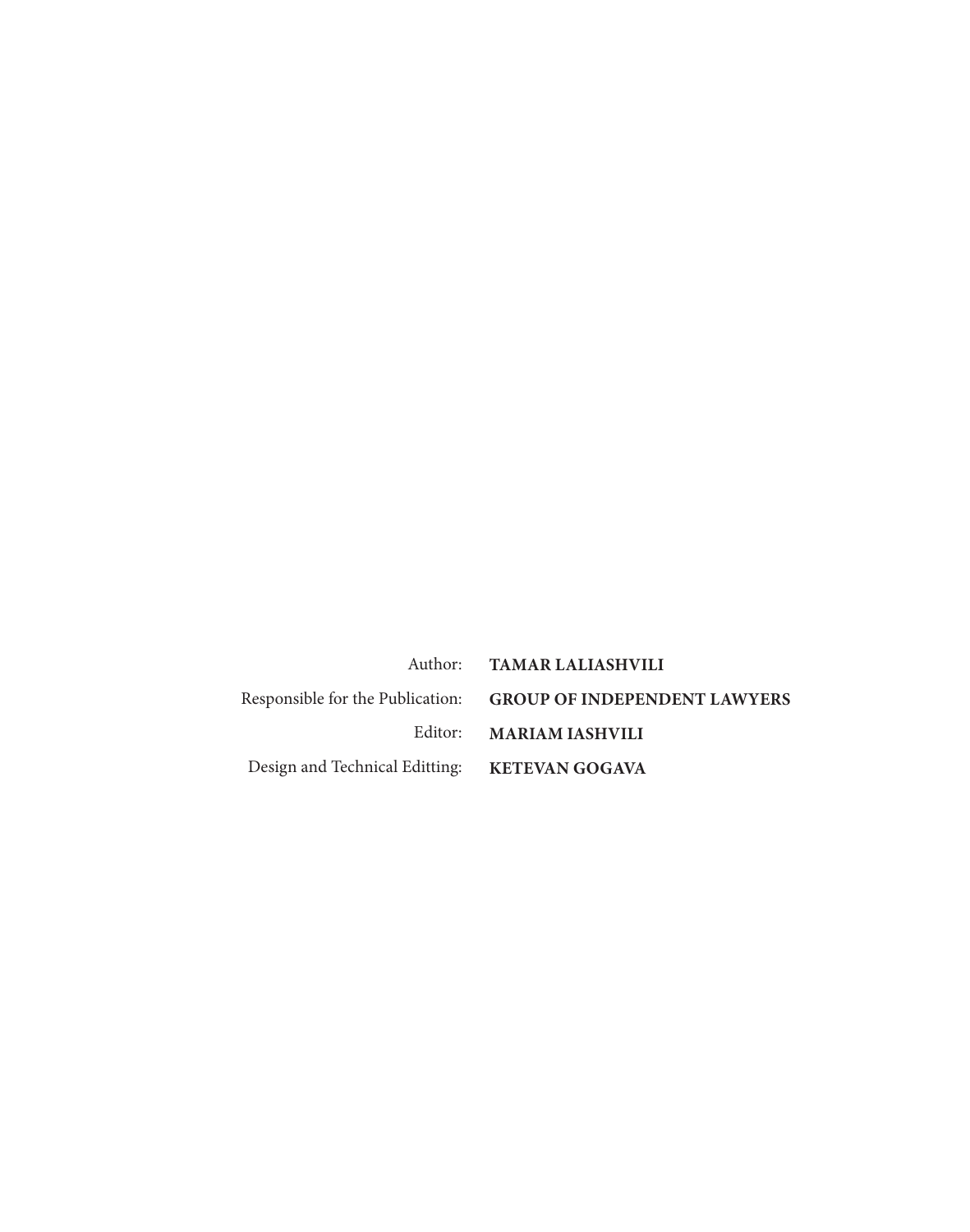|                                               | Author: TAMAR LALIASHVILI                                     |
|-----------------------------------------------|---------------------------------------------------------------|
|                                               | Responsible for the Publication: GROUP OF INDEPENDENT LAWYERS |
|                                               | Editor: MARIAM IASHVILI                                       |
| Design and Technical Editting: KETEVAN GOGAVA |                                                               |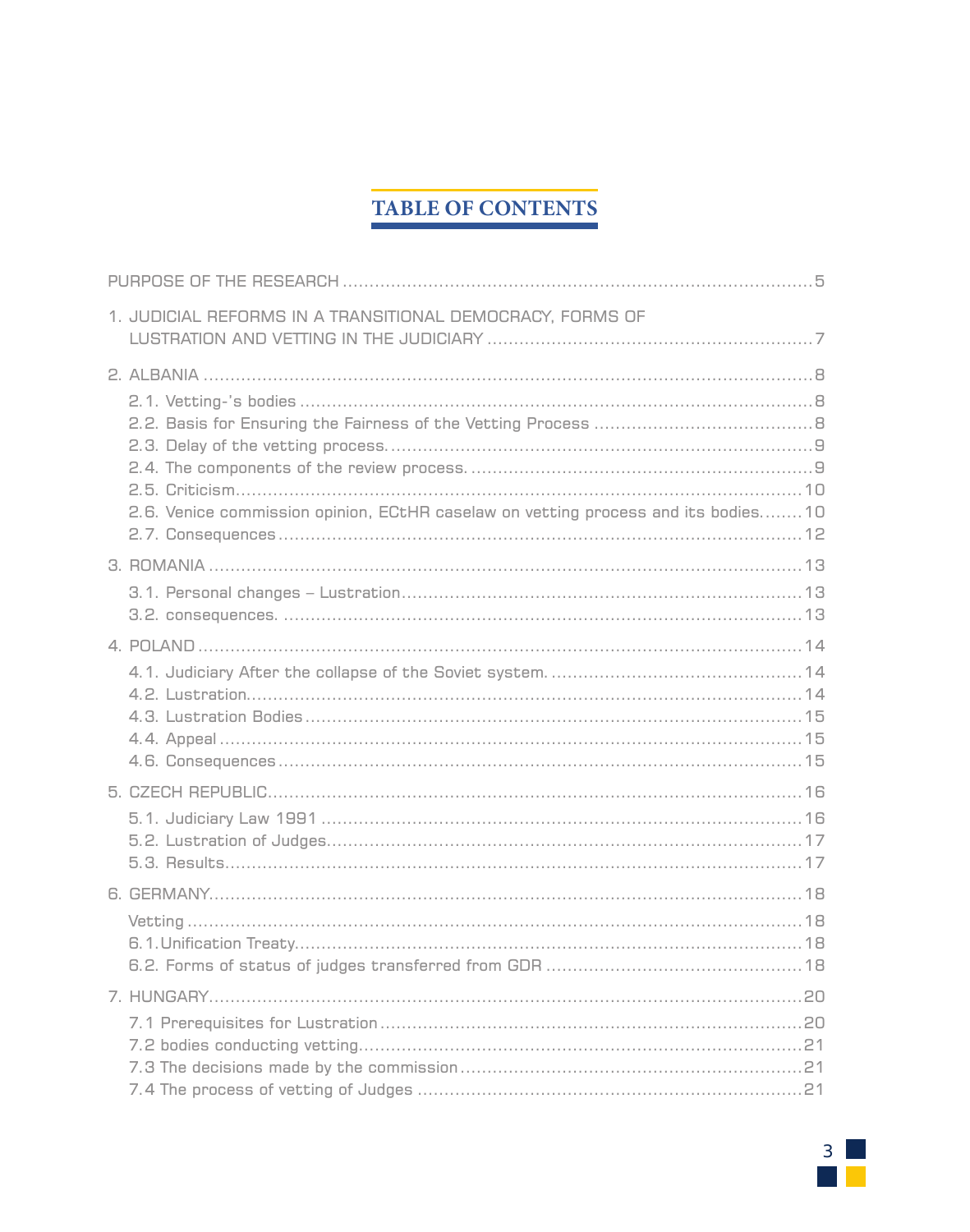# **TABLE OF CONTENTS**

| 1. JUDICIAL REFORMS IN A TRANSITIONAL DEMOCRACY, FORMS OF                          |
|------------------------------------------------------------------------------------|
| 2.6. Venice commission opinion, ECtHR caselaw on vetting process and its bodies 10 |
|                                                                                    |
|                                                                                    |
|                                                                                    |
|                                                                                    |
|                                                                                    |

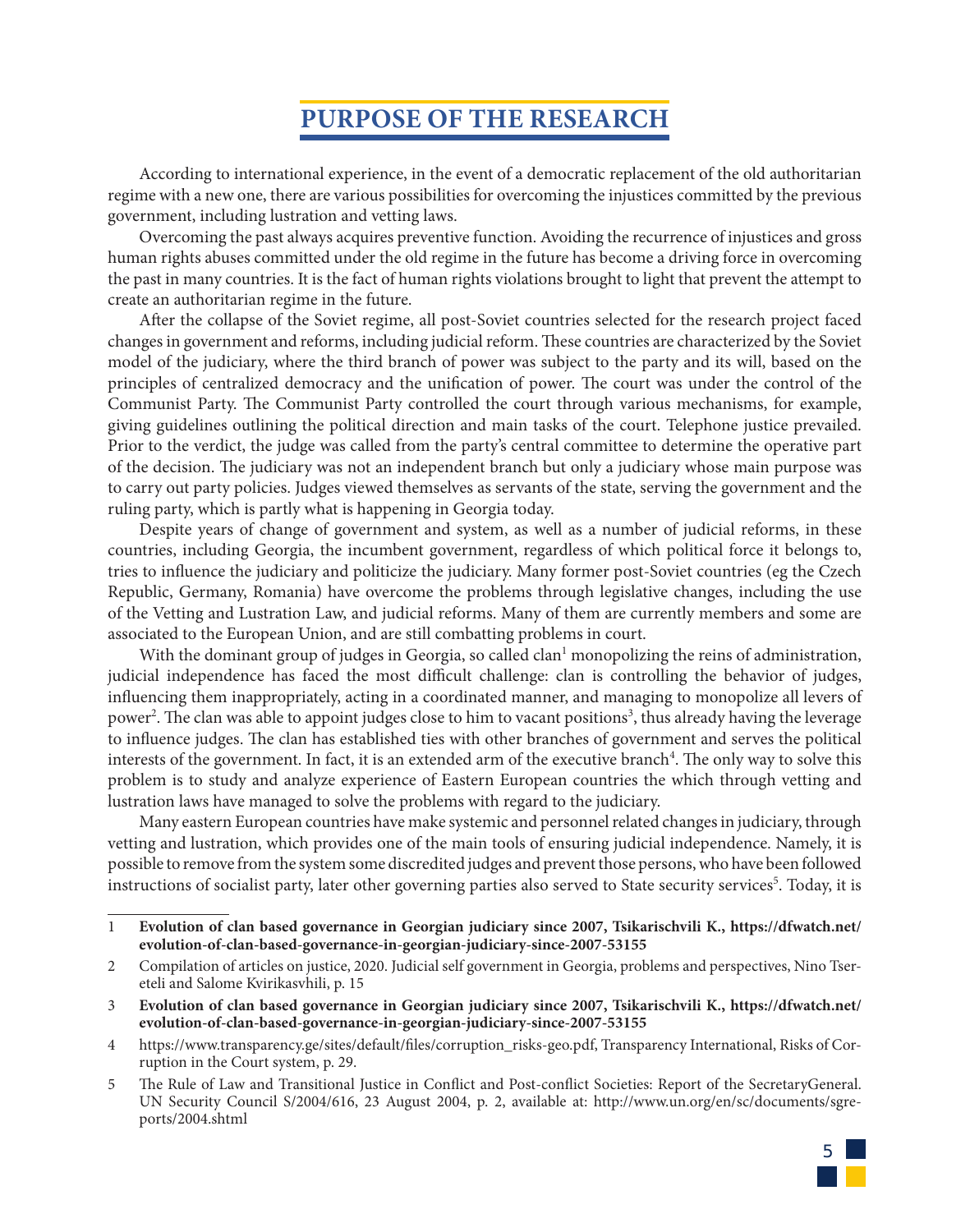# **PURPOSE OF THE RESEARCH**

According to international experience, in the event of a democratic replacement of the old authoritarian regime with a new one, there are various possibilities for overcoming the injustices committed by the previous government, including lustration and vetting laws.

Overcoming the past always acquires preventive function. Avoiding the recurrence of injustices and gross human rights abuses committed under the old regime in the future has become a driving force in overcoming the past in many countries. It is the fact of human rights violations brought to light that prevent the attempt to create an authoritarian regime in the future.

After the collapse of the Soviet regime, all post-Soviet countries selected for the research project faced changes in government and reforms, including judicial reform. These countries are characterized by the Soviet model of the judiciary, where the third branch of power was subject to the party and its will, based on the principles of centralized democracy and the unification of power. The court was under the control of the Communist Party. The Communist Party controlled the court through various mechanisms, for example, giving guidelines outlining the political direction and main tasks of the court. Telephone justice prevailed. Prior to the verdict, the judge was called from the party's central committee to determine the operative part of the decision. The judiciary was not an independent branch but only a judiciary whose main purpose was to carry out party policies. Judges viewed themselves as servants of the state, serving the government and the ruling party, which is partly what is happening in Georgia today.

Despite years of change of government and system, as well as a number of judicial reforms, in these countries, including Georgia, the incumbent government, regardless of which political force it belongs to, tries to influence the judiciary and politicize the judiciary. Many former post-Soviet countries (eg the Czech Republic, Germany, Romania) have overcome the problems through legislative changes, including the use of the Vetting and Lustration Law, and judicial reforms. Many of them are currently members and some are associated to the European Union, and are still combatting problems in court.

With the dominant group of judges in Georgia, so called clan<sup>1</sup> monopolizing the reins of administration, judicial independence has faced the most difficult challenge: clan is controlling the behavior of judges, influencing them inappropriately, acting in a coordinated manner, and managing to monopolize all levers of power<sup>2</sup>. The clan was able to appoint judges close to him to vacant positions<sup>3</sup>, thus already having the leverage to influence judges. The clan has established ties with other branches of government and serves the political interests of the government. In fact, it is an extended arm of the executive branch<sup>4</sup>. The only way to solve this problem is to study and analyze experience of Eastern European countries the which through vetting and lustration laws have managed to solve the problems with regard to the judiciary.

Many eastern European countries have make systemic and personnel related changes in judiciary, through vetting and lustration, which provides one of the main tools of ensuring judicial independence. Namely, it is possible to remove from the system some discredited judges and prevent those persons, who have been followed instructions of socialist party, later other governing parties also served to State security services<sup>5</sup>. Today, it is

<sup>5</sup> The Rule of Law and Transitional Justice in Conflict and Post-conflict Societies: Report of the SecretaryGeneral. UN Security Council S/2004/616, 23 August 2004, p. 2, available at: http://www.un.org/en/sc/documents/sgreports/2004.shtml



<sup>1</sup> **Evolution of clan based governance in Georgian judiciary since 2007, Tsikarischvili K., https://dfwatch.net/ evolution-of-clan-based-governance-in-georgian-judiciary-since-2007-53155**

<sup>2</sup> Compilation of articles on justice, 2020. Judicial self government in Georgia, problems and perspectives, Nino Tsereteli and Salome Kvirikasvhili, p. 15

<sup>3</sup> **Evolution of clan based governance in Georgian judiciary since 2007, Tsikarischvili K., https://dfwatch.net/ evolution-of-clan-based-governance-in-georgian-judiciary-since-2007-53155**

<sup>4</sup> https://www.transparency.ge/sites/default/files/corruption\_risks-geo.pdf, Transparency International, Risks of Corruption in the Court system, p. 29.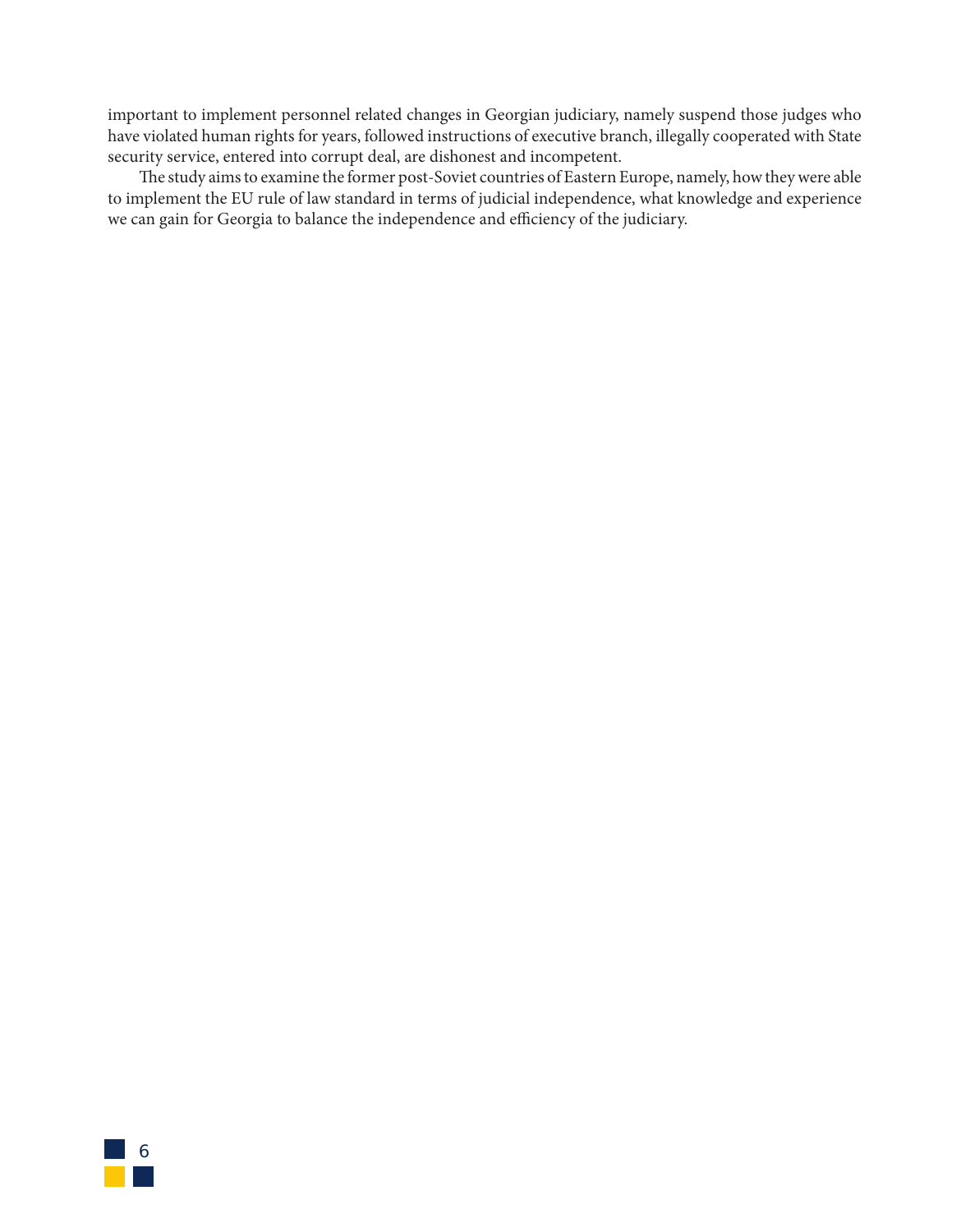important to implement personnel related changes in Georgian judiciary, namely suspend those judges who have violated human rights for years, followed instructions of executive branch, illegally cooperated with State security service, entered into corrupt deal, are dishonest and incompetent.

The study aims to examine the former post-Soviet countries of Eastern Europe, namely, how they were able to implement the EU rule of law standard in terms of judicial independence, what knowledge and experience we can gain for Georgia to balance the independence and efficiency of the judiciary.

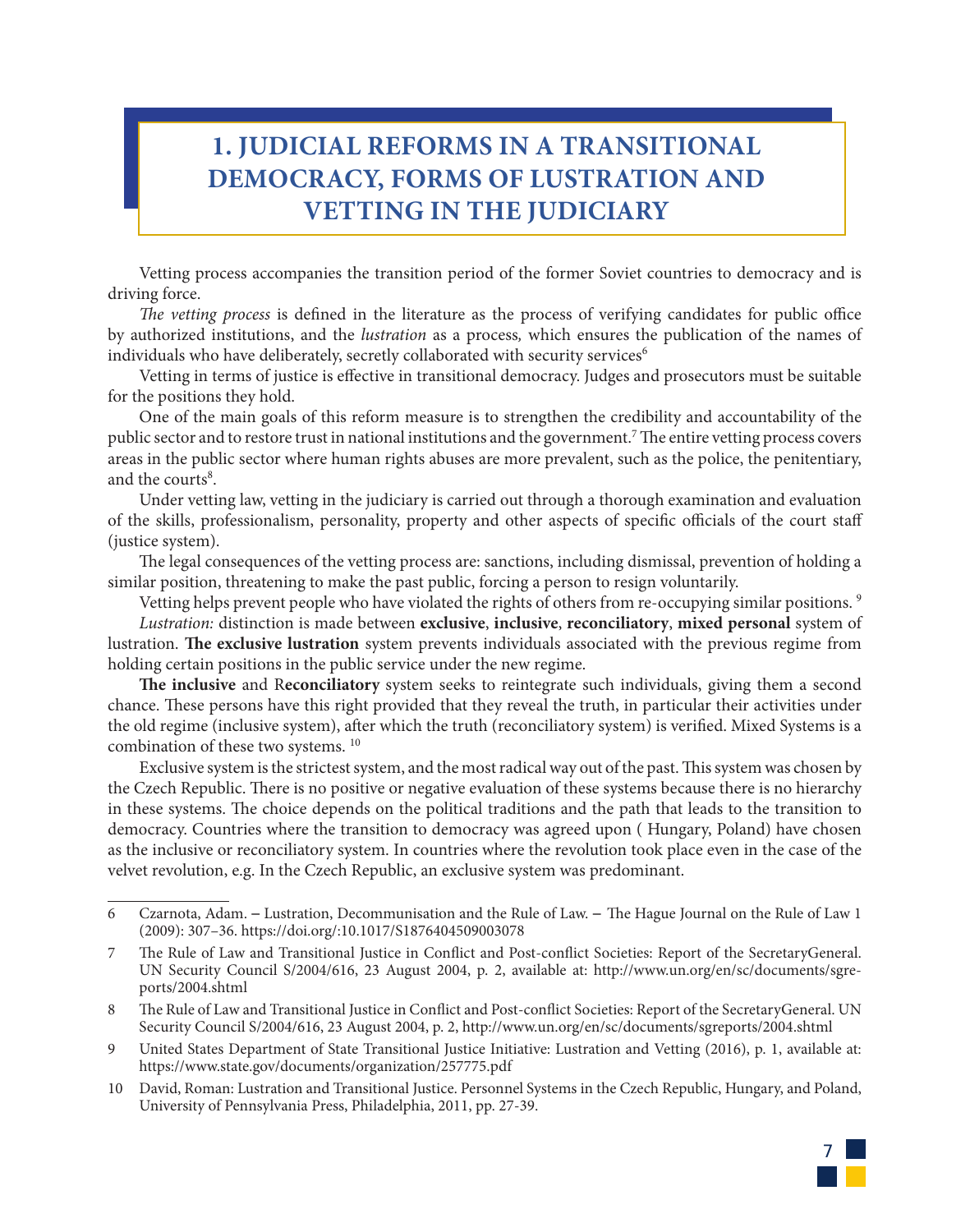# **1. JUDICIAL REFORMS IN A TRANSITIONAL DEMOCRACY, FORMS OF LUSTRATION AND VETTING IN THE JUDICIARY**

Vetting process accompanies the transition period of the former Soviet countries to democracy and is driving force.

*The vetting process* is defined in the literature as the process of verifying candidates for public office by authorized institutions, and the *lustration* as a process*,* which ensures the publication of the names of individuals who have deliberately, secretly collaborated with security services<sup>6</sup>

Vetting in terms of justice is effective in transitional democracy. Judges and prosecutors must be suitable for the positions they hold.

One of the main goals of this reform measure is to strengthen the credibility and accountability of the public sector and to restore trust in national institutions and the government.7 The entire vetting process covers areas in the public sector where human rights abuses are more prevalent, such as the police, the penitentiary, and the courts<sup>8</sup>.

Under vetting law, vetting in the judiciary is carried out through a thorough examination and evaluation of the skills, professionalism, personality, property and other aspects of specific officials of the court staff (justice system).

The legal consequences of the vetting process are: sanctions, including dismissal, prevention of holding a similar position, threatening to make the past public, forcing a person to resign voluntarily.

Vetting helps prevent people who have violated the rights of others from re-occupying similar positions. 9

*Lustration:* distinction is made between **exclusive**, **inclusive**, **reconciliatory**, **mixed personal** system of lustration. **The exclusive lustration** system prevents individuals associated with the previous regime from holding certain positions in the public service under the new regime.

**The inclusive** and R**econciliatory** system seeks to reintegrate such individuals, giving them a second chance. These persons have this right provided that they reveal the truth, in particular their activities under the old regime (inclusive system), after which the truth (reconciliatory system) is verified. Mixed Systems is a combination of these two systems.<sup>10</sup>

Exclusive system is the strictest system, and the most radical way out of the past. This system was chosen by the Czech Republic. There is no positive or negative evaluation of these systems because there is no hierarchy in these systems. The choice depends on the political traditions and the path that leads to the transition to democracy. Countries where the transition to democracy was agreed upon ( Hungary, Poland) have chosen as the inclusive or reconciliatory system. In countries where the revolution took place even in the case of the velvet revolution, e.g. In the Czech Republic, an exclusive system was predominant.

<sup>10</sup> David, Roman: Lustration and Transitional Justice. Personnel Systems in the Czech Republic, Hungary, and Poland, University of Pennsylvania Press, Philadelphia, 2011, pp. 27-39.



<sup>6</sup> Czarnota, Adam. ― Lustration, Decommunisation and the Rule of Law. ― The Hague Journal on the Rule of Law 1 (2009): 307–36. https://doi.org/:10.1017/S1876404509003078

<sup>7</sup> The Rule of Law and Transitional Justice in Conflict and Post-conflict Societies: Report of the SecretaryGeneral. UN Security Council S/2004/616, 23 August 2004, p. 2, available at: http://www.un.org/en/sc/documents/sgreports/2004.shtml

<sup>8</sup> The Rule of Law and Transitional Justice in Conflict and Post-conflict Societies: Report of the SecretaryGeneral. UN Security Council S/2004/616, 23 August 2004, p. 2, http://www.un.org/en/sc/documents/sgreports/2004.shtml

<sup>9</sup> United States Department of State Transitional Justice Initiative: Lustration and Vetting (2016), p. 1, available at: https://www.state.gov/documents/organization/257775.pdf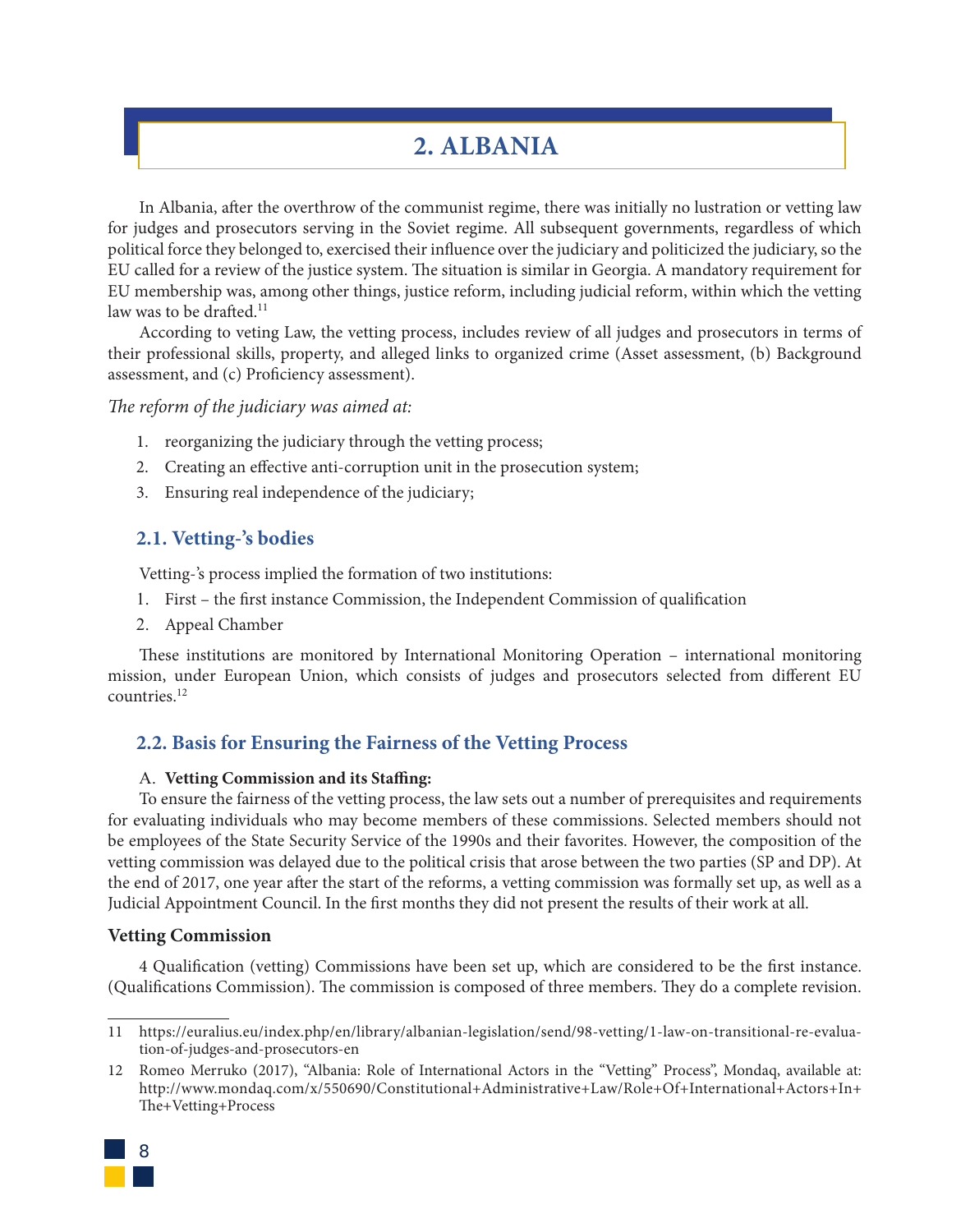# **2. ALBANIA**

In Albania, after the overthrow of the communist regime, there was initially no lustration or vetting law for judges and prosecutors serving in the Soviet regime. All subsequent governments, regardless of which political force they belonged to, exercised their influence over the judiciary and politicized the judiciary, so the EU called for a review of the justice system. The situation is similar in Georgia. A mandatory requirement for EU membership was, among other things, justice reform, including judicial reform, within which the vetting law was to be drafted.<sup>11</sup>

According to veting Law, the vetting process, includes review of all judges and prosecutors in terms of their professional skills, property, and alleged links to organized crime (Asset assessment, (b) Background assessment, and (c) Proficiency assessment).

*The reform of the judiciary was aimed at:*

- 1. reorganizing the judiciary through the vetting process;
- 2. Creating an effective anti-corruption unit in the prosecution system;
- 3. Ensuring real independence of the judiciary;

# **2.1. Vetting-'s bodies**

Vetting-'s process implied the formation of two institutions:

- 1. First the first instance Commission, the Independent Commission of qualification
- 2. Appeal Chamber

These institutions are monitored by International Monitoring Operation – international monitoring mission, under European Union, which consists of judges and prosecutors selected from different EU countries.12

## **2.2. Basis for Ensuring the Fairness of the Vetting Process**

#### A. **Vetting Commission and its Staffing:**

To ensure the fairness of the vetting process, the law sets out a number of prerequisites and requirements for evaluating individuals who may become members of these commissions. Selected members should not be employees of the State Security Service of the 1990s and their favorites. However, the composition of the vetting commission was delayed due to the political crisis that arose between the two parties (SP and DP). At the end of 2017, one year after the start of the reforms, a vetting commission was formally set up, as well as a Judicial Appointment Council. In the first months they did not present the results of their work at all.

#### **Vetting Commission**

4 Qualification (vetting) Commissions have been set up, which are considered to be the first instance. (Qualifications Commission). The commission is composed of three members. They do a complete revision.

<sup>12</sup> Romeo Merruko (2017), "Albania: Role of International Actors in the "Vetting" Process", Mondaq, available at: http://www.mondaq.com/x/550690/Constitutional+Administrative+Law/Role+Of+International+Actors+In+ The+Vetting+Process



<sup>11</sup> https://euralius.eu/index.php/en/library/albanian-legislation/send/98-vetting/1-law-on-transitional-re-evaluation-of-judges-and-prosecutors-en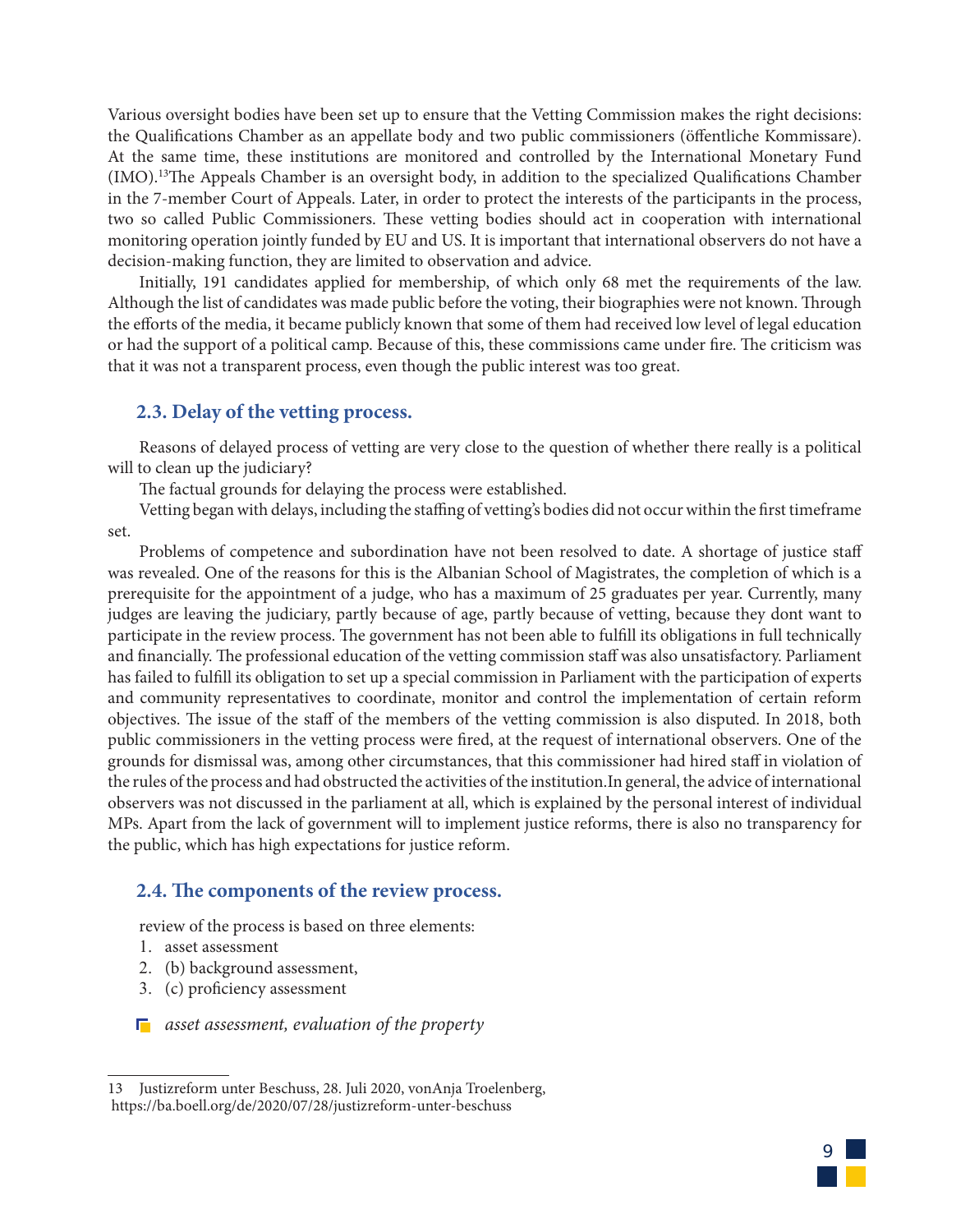Various oversight bodies have been set up to ensure that the Vetting Commission makes the right decisions: the Qualifications Chamber as an appellate body and two public commissioners (öffentliche Kommissare). At the same time, these institutions are monitored and controlled by the International Monetary Fund (IMO).13The Appeals Chamber is an oversight body, in addition to the specialized Qualifications Chamber in the 7-member Court of Appeals. Later, in order to protect the interests of the participants in the process, two so called Public Commissioners. These vetting bodies should act in cooperation with international monitoring operation jointly funded by EU and US. It is important that international observers do not have a decision-making function, they are limited to observation and advice.

Initially, 191 candidates applied for membership, of which only 68 met the requirements of the law. Although the list of candidates was made public before the voting, their biographies were not known. Through the efforts of the media, it became publicly known that some of them had received low level of legal education or had the support of a political camp. Because of this, these commissions came under fire. The criticism was that it was not a transparent process, even though the public interest was too great.

## **2.3. Delay of the vetting process.**

Reasons of delayed process of vetting are very close to the question of whether there really is a political will to clean up the judiciary?

The factual grounds for delaying the process were established.

Vetting began with delays, including the staffing of vetting's bodies did not occur within the first timeframe set.

Problems of competence and subordination have not been resolved to date. A shortage of justice staff was revealed. One of the reasons for this is the Albanian School of Magistrates, the completion of which is a prerequisite for the appointment of a judge, who has a maximum of 25 graduates per year. Currently, many judges are leaving the judiciary, partly because of age, partly because of vetting, because they dont want to participate in the review process. The government has not been able to fulfill its obligations in full technically and financially. The professional education of the vetting commission staff was also unsatisfactory. Parliament has failed to fulfill its obligation to set up a special commission in Parliament with the participation of experts and community representatives to coordinate, monitor and control the implementation of certain reform objectives. The issue of the staff of the members of the vetting commission is also disputed. In 2018, both public commissioners in the vetting process were fired, at the request of international observers. One of the grounds for dismissal was, among other circumstances, that this commissioner had hired staff in violation of the rules of the process and had obstructed the activities of the institution.In general, the advice of international observers was not discussed in the parliament at all, which is explained by the personal interest of individual MPs. Apart from the lack of government will to implement justice reforms, there is also no transparency for the public, which has high expectations for justice reform.

# **2.4. The components of the review process.**

review of the process is based on three elements:

- 1. asset assessment
- 2. (b) background assessment,
- 3. (c) proficiency assessment
- *asset assessment, evaluation of the property*



<sup>13</sup> Justizreform unter Beschuss, 28. Juli 2020, vonAnja Troelenberg, https://ba.boell.org/de/2020/07/28/justizreform-unter-beschuss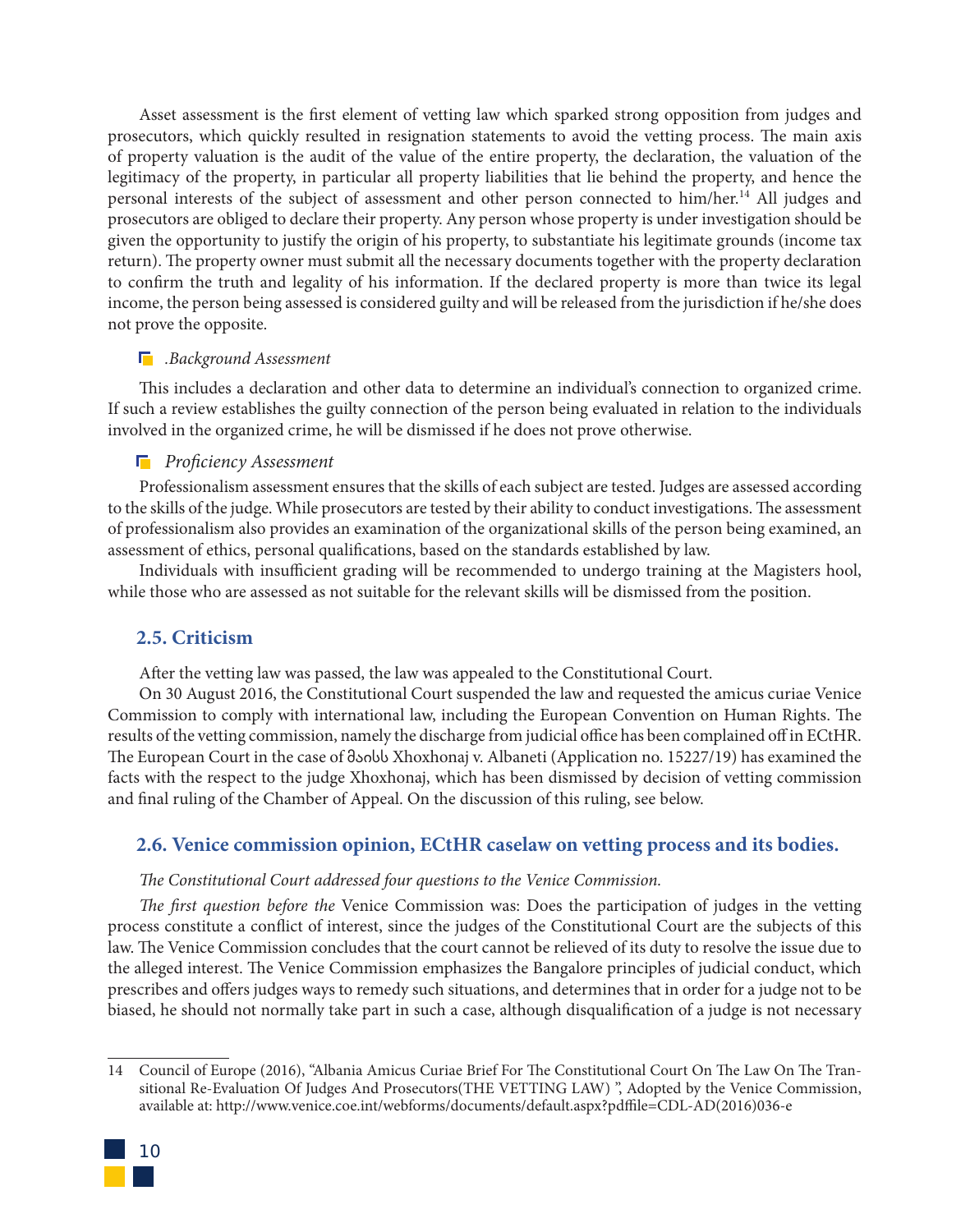Asset assessment is the first element of vetting law which sparked strong opposition from judges and prosecutors, which quickly resulted in resignation statements to avoid the vetting process. The main axis of property valuation is the audit of the value of the entire property, the declaration, the valuation of the legitimacy of the property, in particular all property liabilities that lie behind the property, and hence the personal interests of the subject of assessment and other person connected to him/her.<sup>14</sup> All judges and prosecutors are obliged to declare their property. Any person whose property is under investigation should be given the opportunity to justify the origin of his property, to substantiate his legitimate grounds (income tax return). The property owner must submit all the necessary documents together with the property declaration to confirm the truth and legality of his information. If the declared property is more than twice its legal income, the person being assessed is considered guilty and will be released from the jurisdiction if he/she does not prove the opposite.

#### *.Background Assessment*

This includes a declaration and other data to determine an individual's connection to organized crime. If such a review establishes the guilty connection of the person being evaluated in relation to the individuals involved in the organized crime, he will be dismissed if he does not prove otherwise.

#### *Proficiency Assessment*

Professionalism assessment ensures that the skills of each subject are tested. Judges are assessed according to the skills of the judge. While prosecutors are tested by their ability to conduct investigations. The assessment of professionalism also provides an examination of the organizational skills of the person being examined, an assessment of ethics, personal qualifications, based on the standards established by law.

Individuals with insufficient grading will be recommended to undergo training at the Magisters hool, while those who are assessed as not suitable for the relevant skills will be dismissed from the position.

## **2.5. Criticism**

After the vetting law was passed, the law was appealed to the Constitutional Court.

On 30 August 2016, the Constitutional Court suspended the law and requested the amicus curiae Venice Commission to comply with international law, including the European Convention on Human Rights. The results of the vetting commission, namely the discharge from judicial office has been complained off in ECtHR. The European Court in the case of მაისს Xhoxhonaj v. Albaneti (Application no. 15227/19) has examined the facts with the respect to the judge Xhoxhonaj, which has been dismissed by decision of vetting commission and final ruling of the Chamber of Appeal. On the discussion of this ruling, see below.

## **2.6. Venice commission opinion, ECtHR caselaw on vetting process and its bodies.**

#### *The Constitutional Court addressed four questions to the Venice Commission.*

*The first question before the* Venice Commission was: Does the participation of judges in the vetting process constitute a conflict of interest, since the judges of the Constitutional Court are the subjects of this law. The Venice Commission concludes that the court cannot be relieved of its duty to resolve the issue due to the alleged interest. The Venice Commission emphasizes the Bangalore principles of judicial conduct, which prescribes and offers judges ways to remedy such situations, and determines that in order for a judge not to be biased, he should not normally take part in such a case, although disqualification of a judge is not necessary

<sup>14</sup> Council of Europe (2016), "Albania Amicus Curiae Brief For The Constitutional Court On The Law On The Transitional Re-Evaluation Of Judges And Prosecutors(THE VETTING LAW) ", Adopted by the Venice Commission, available at: http://www.venice.coe.int/webforms/documents/default.aspx?pdffile=CDL-AD(2016)036-e

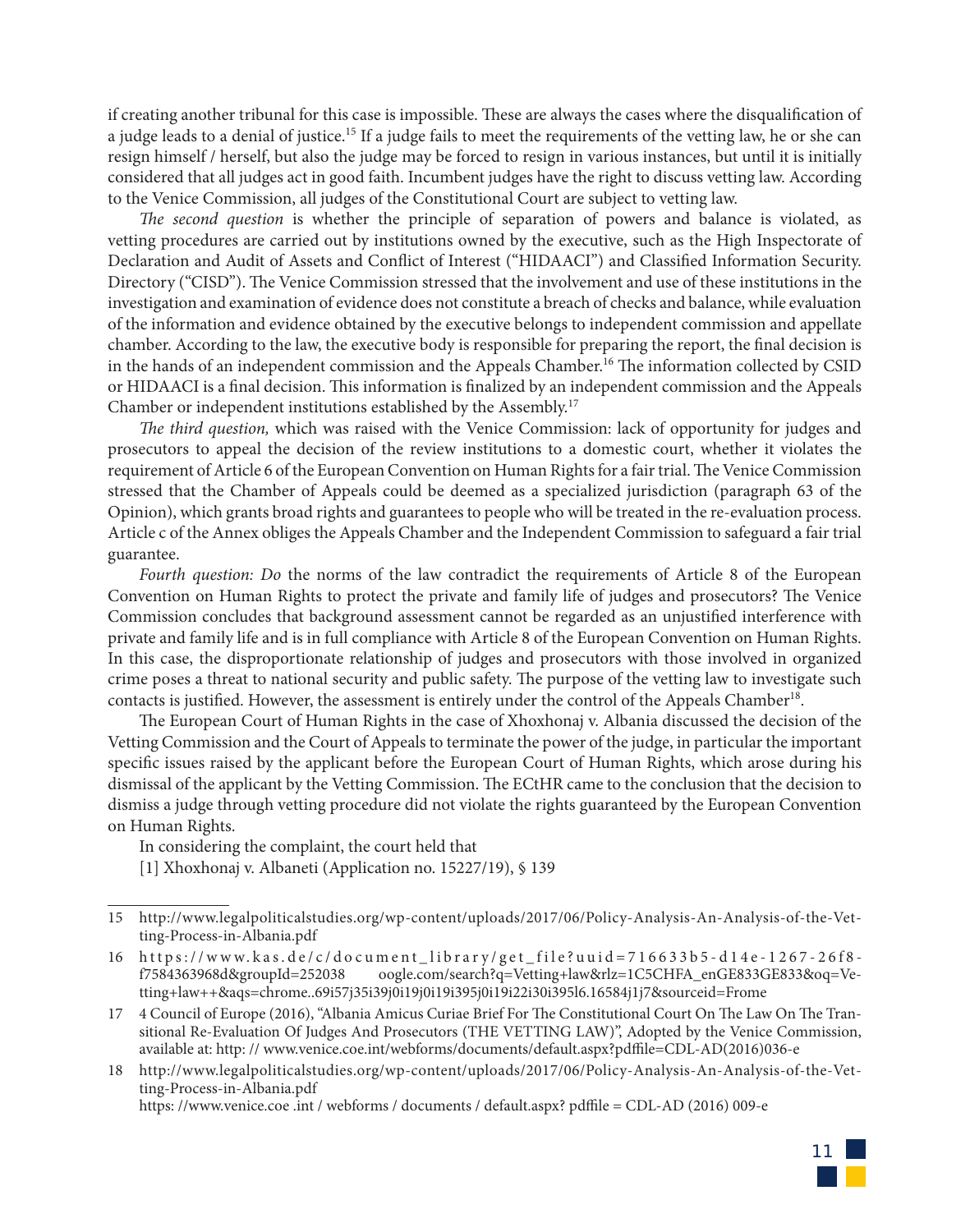if creating another tribunal for this case is impossible. These are always the cases where the disqualification of a judge leads to a denial of justice.15 If a judge fails to meet the requirements of the vetting law, he or she can resign himself / herself, but also the judge may be forced to resign in various instances, but until it is initially considered that all judges act in good faith. Incumbent judges have the right to discuss vetting law. According to the Venice Commission, all judges of the Constitutional Court are subject to vetting law.

*The second question* is whether the principle of separation of powers and balance is violated, as vetting procedures are carried out by institutions owned by the executive, such as the High Inspectorate of Declaration and Audit of Assets and Conflict of Interest ("HIDAACI") and Classified Information Security. Directory ("CISD"). The Venice Commission stressed that the involvement and use of these institutions in the investigation and examination of evidence does not constitute a breach of checks and balance, while evaluation of the information and evidence obtained by the executive belongs to independent commission and appellate chamber. According to the law, the executive body is responsible for preparing the report, the final decision is in the hands of an independent commission and the Appeals Chamber.<sup>16</sup> The information collected by CSID or HIDAACI is a final decision. This information is finalized by an independent commission and the Appeals Chamber or independent institutions established by the Assembly.17

*The third question,* which was raised with the Venice Commission: lack of opportunity for judges and prosecutors to appeal the decision of the review institutions to a domestic court, whether it violates the requirement of Article 6 of the European Convention on Human Rights for a fair trial. The Venice Commission stressed that the Chamber of Appeals could be deemed as a specialized jurisdiction (paragraph 63 of the Opinion), which grants broad rights and guarantees to people who will be treated in the re-evaluation process. Article c of the Annex obliges the Appeals Chamber and the Independent Commission to safeguard a fair trial guarantee.

*Fourth question: Do* the norms of the law contradict the requirements of Article 8 of the European Convention on Human Rights to protect the private and family life of judges and prosecutors? The Venice Commission concludes that background assessment cannot be regarded as an unjustified interference with private and family life and is in full compliance with Article 8 of the European Convention on Human Rights. In this case, the disproportionate relationship of judges and prosecutors with those involved in organized crime poses a threat to national security and public safety. The purpose of the vetting law to investigate such contacts is justified. However, the assessment is entirely under the control of the Appeals Chamber<sup>18</sup>.

The European Court of Human Rights in the case of Xhoxhonaj v. Albania discussed the decision of the Vetting Commission and the Court of Appeals to terminate the power of the judge, in particular the important specific issues raised by the applicant before the European Court of Human Rights, which arose during his dismissal of the applicant by the Vetting Commission. The ECtHR came to the conclusion that the decision to dismiss a judge through vetting procedure did not violate the rights guaranteed by the European Convention on Human Rights.

In considering the complaint, the court held that

[1] Xhoxhonaj v. Albaneti (Application no. 15227/19), § 139

18 http://www.legalpoliticalstudies.org/wp-content/uploads/2017/06/Policy-Analysis-An-Analysis-of-the-Vetting-Process-in-Albania.pdf

https: //www.venice.coe .int / webforms / documents / default.aspx? pdffile = CDL-AD (2016) 009-e



<sup>15</sup> http://www.legalpoliticalstudies.org/wp-content/uploads/2017/06/Policy-Analysis-An-Analysis-of-the-Vetting-Process-in-Albania.pdf

<sup>16</sup> https://www.kas.de/c/document\_library/get\_file?uuid=716633b5-d14e-1267-26f8 oogle.com/search?q=Vetting+law&rlz=1C5CHFA\_enGE833GE833&oq=Vetting+law++&aqs=chrome..69i57j35i39j0i19j0i19i395j0i19i22i30i395l6.16584j1j7&sourceid=Frome

<sup>17</sup> 4 Council of Europe (2016), "Albania Amicus Curiae Brief For The Constitutional Court On The Law On The Transitional Re-Evaluation Of Judges And Prosecutors (THE VETTING LAW)", Adopted by the Venice Commission, available at: http: // www.venice.coe.int/webforms/documents/default.aspx?pdffile=CDL-AD(2016)036-e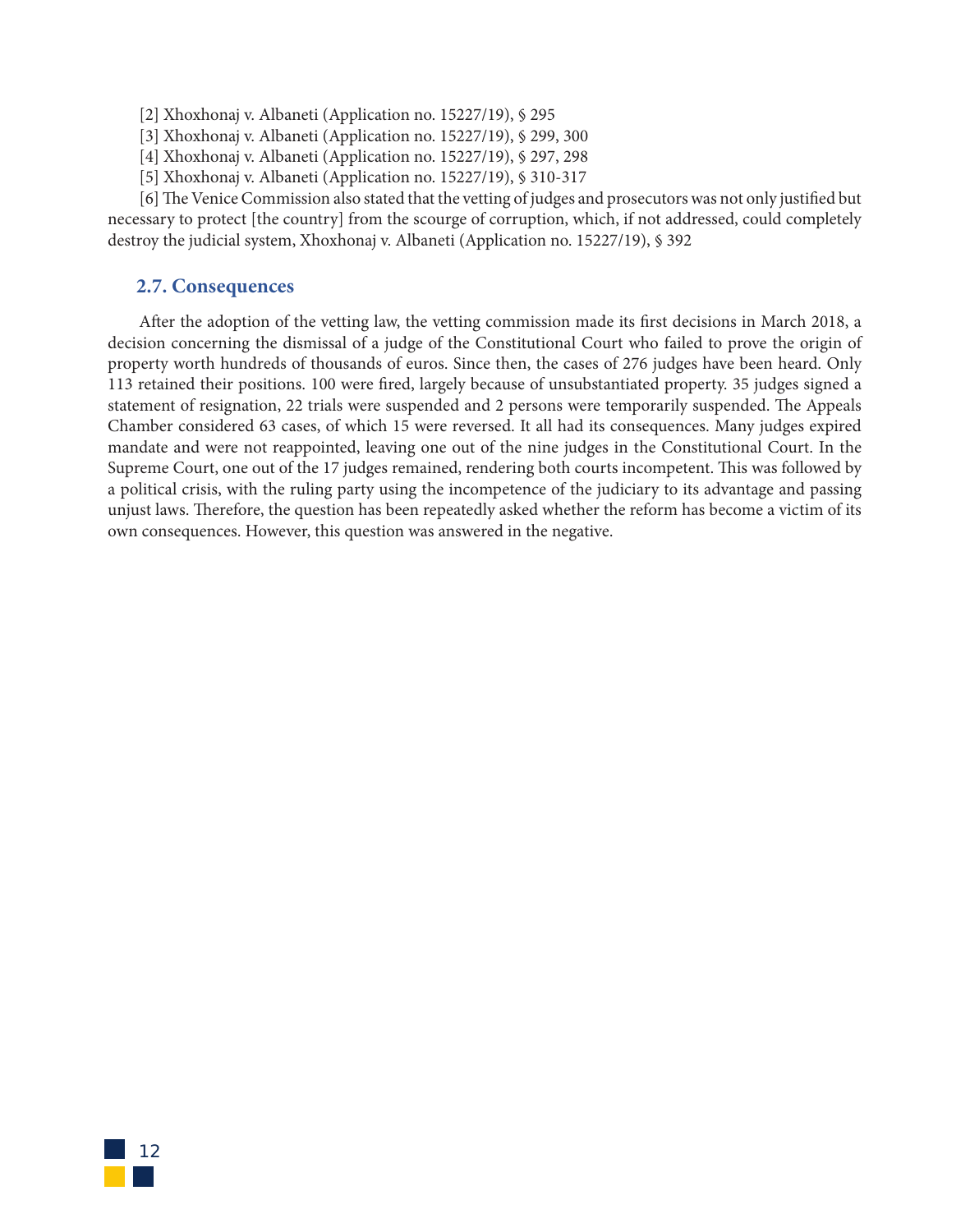- [2] Xhoxhonaj v. Albaneti (Application no. 15227/19), § 295
- [3] Xhoxhonaj v. Albaneti (Application no. 15227/19), § 299, 300
- [4] Xhoxhonaj v. Albaneti (Application no. 15227/19), § 297, 298
- [5] Xhoxhonaj v. Albaneti (Application no. 15227/19), § 310-317

[6] The Venice Commission also stated that the vetting of judges and prosecutors was not only justified but necessary to protect [the country] from the scourge of corruption, which, if not addressed, could completely destroy the judicial system, Xhoxhonaj v. Albaneti (Application no. 15227/19), § 392

## **2.7. Consequences**

After the adoption of the vetting law, the vetting commission made its first decisions in March 2018, a decision concerning the dismissal of a judge of the Constitutional Court who failed to prove the origin of property worth hundreds of thousands of euros. Since then, the cases of 276 judges have been heard. Only 113 retained their positions. 100 were fired, largely because of unsubstantiated property. 35 judges signed a statement of resignation, 22 trials were suspended and 2 persons were temporarily suspended. The Appeals Chamber considered 63 cases, of which 15 were reversed. It all had its consequences. Many judges expired mandate and were not reappointed, leaving one out of the nine judges in the Constitutional Court. In the Supreme Court, one out of the 17 judges remained, rendering both courts incompetent. This was followed by a political crisis, with the ruling party using the incompetence of the judiciary to its advantage and passing unjust laws. Therefore, the question has been repeatedly asked whether the reform has become a victim of its own consequences. However, this question was answered in the negative.

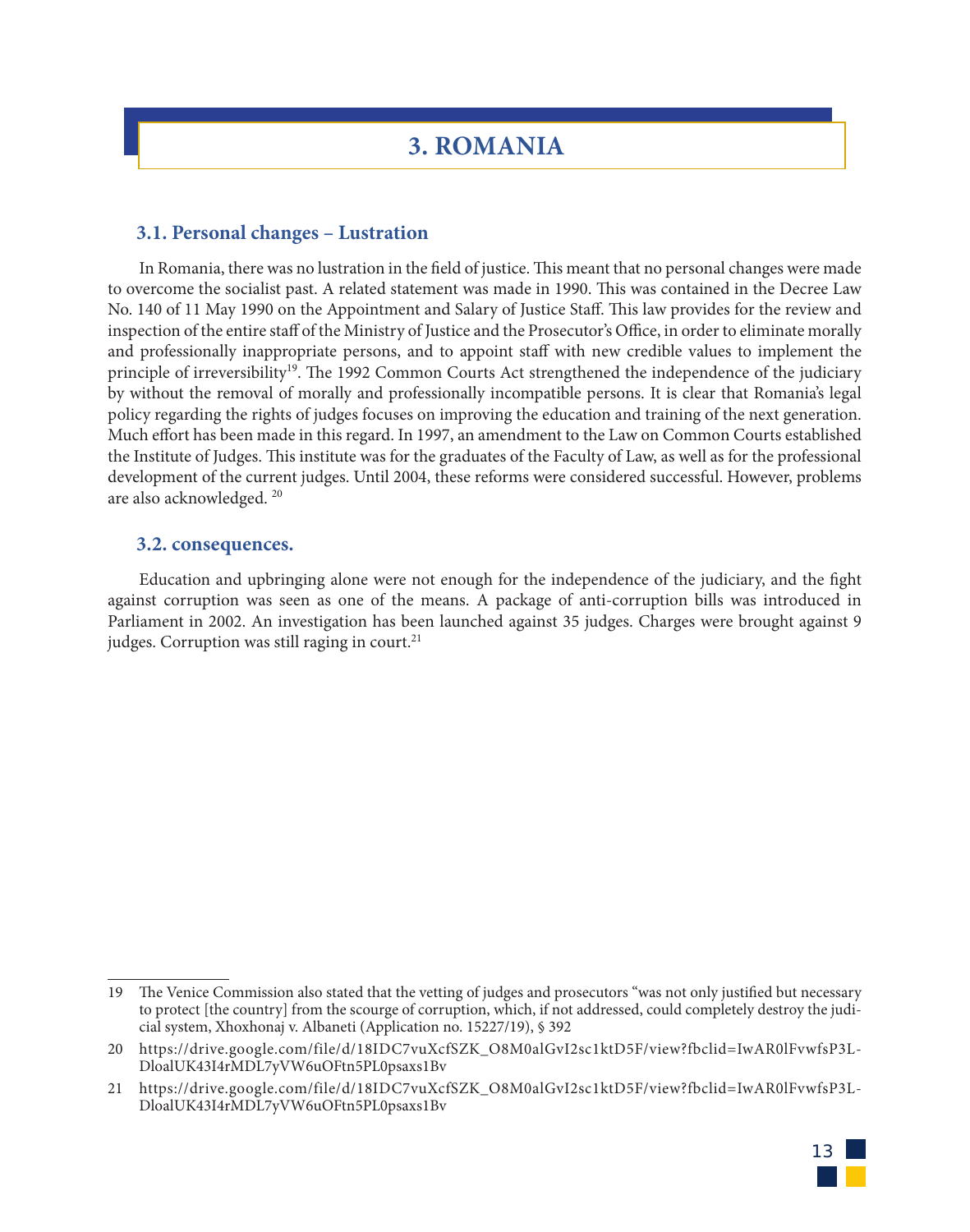# **3. ROMANIA**

## **3.1. Personal changes – Lustration**

In Romania, there was no lustration in the field of justice. This meant that no personal changes were made to overcome the socialist past. A related statement was made in 1990. This was contained in the Decree Law No. 140 of 11 May 1990 on the Appointment and Salary of Justice Staff. This law provides for the review and inspection of the entire staff of the Ministry of Justice and the Prosecutor's Office, in order to eliminate morally and professionally inappropriate persons, and to appoint staff with new credible values to implement the principle of irreversibility<sup>19</sup>. The 1992 Common Courts Act strengthened the independence of the judiciary by without the removal of morally and professionally incompatible persons. It is clear that Romania's legal policy regarding the rights of judges focuses on improving the education and training of the next generation. Much effort has been made in this regard. In 1997, an amendment to the Law on Common Courts established the Institute of Judges. This institute was for the graduates of the Faculty of Law, as well as for the professional development of the current judges. Until 2004, these reforms were considered successful. However, problems are also acknowledged. 20

#### **3.2. consequences.**

Education and upbringing alone were not enough for the independence of the judiciary, and the fight against corruption was seen as one of the means. A package of anti-corruption bills was introduced in Parliament in 2002. An investigation has been launched against 35 judges. Charges were brought against 9 judges. Corruption was still raging in court. $21$ 

<sup>21</sup> https://drive.google.com/file/d/18IDC7vuXcfSZK\_O8M0alGvI2sc1ktD5F/view?fbclid=IwAR0lFvwfsP3L-DloalUK43I4rMDL7yVW6uOFtn5PL0psaxs1Bv



<sup>19</sup> The Venice Commission also stated that the vetting of judges and prosecutors "was not only justified but necessary to protect [the country] from the scourge of corruption, which, if not addressed, could completely destroy the judicial system, Xhoxhonaj v. Albaneti (Application no. 15227/19), § 392

<sup>20</sup> https://drive.google.com/file/d/18IDC7vuXcfSZK\_O8M0alGvI2sc1ktD5F/view?fbclid=IwAR0lFvwfsP3L-DloalUK43I4rMDL7yVW6uOFtn5PL0psaxs1Bv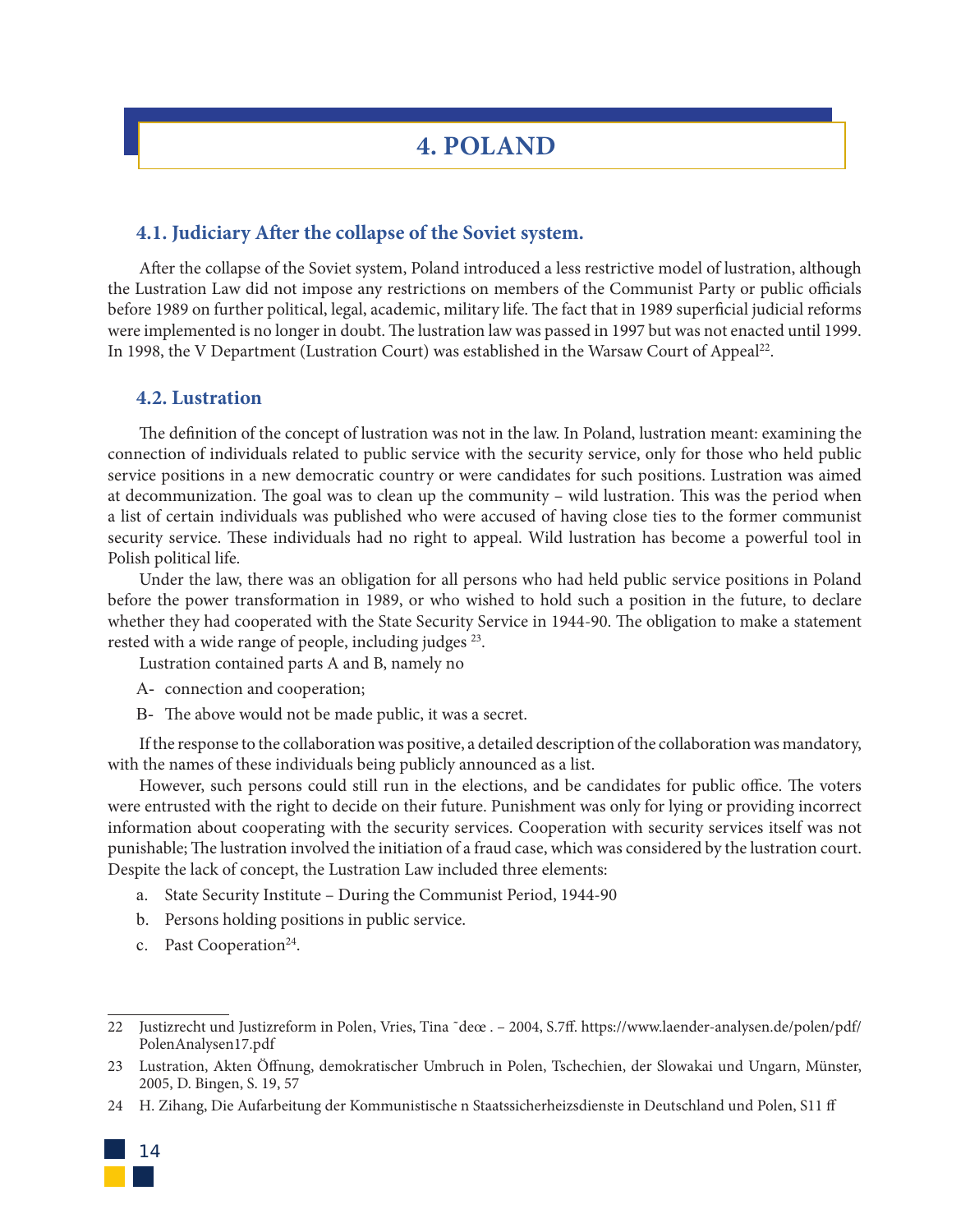# **4. POLAND**

### **4.1. Judiciary After the collapse of the Soviet system.**

After the collapse of the Soviet system, Poland introduced a less restrictive model of lustration, although the Lustration Law did not impose any restrictions on members of the Communist Party or public officials before 1989 on further political, legal, academic, military life. The fact that in 1989 superficial judicial reforms were implemented is no longer in doubt. The lustration law was passed in 1997 but was not enacted until 1999. In 1998, the V Department (Lustration Court) was established in the Warsaw Court of Appeal<sup>22</sup>.

### **4.2. Lustration**

The definition of the concept of lustration was not in the law. In Poland, lustration meant: examining the connection of individuals related to public service with the security service, only for those who held public service positions in a new democratic country or were candidates for such positions. Lustration was aimed at decommunization. The goal was to clean up the community – wild lustration. This was the period when a list of certain individuals was published who were accused of having close ties to the former communist security service. These individuals had no right to appeal. Wild lustration has become a powerful tool in Polish political life.

Under the law, there was an obligation for all persons who had held public service positions in Poland before the power transformation in 1989, or who wished to hold such a position in the future, to declare whether they had cooperated with the State Security Service in 1944-90. The obligation to make a statement rested with a wide range of people, including judges <sup>23</sup>.

Lustration contained parts A and B, namely no

- A- connection and cooperation;
- B- The above would not be made public, it was a secret.

If the response to the collaboration was positive, a detailed description of the collaboration was mandatory, with the names of these individuals being publicly announced as a list.

However, such persons could still run in the elections, and be candidates for public office. The voters were entrusted with the right to decide on their future. Punishment was only for lying or providing incorrect information about cooperating with the security services. Cooperation with security services itself was not punishable; The lustration involved the initiation of a fraud case, which was considered by the lustration court. Despite the lack of concept, the Lustration Law included three elements:

- a. State Security Institute During the Communist Period, 1944-90
- b. Persons holding positions in public service.
- c. Past Cooperation<sup>24</sup>.

<sup>24</sup> H. Zihang, Die Aufarbeitung der Kommunistische n Staatssicherheizsdienste in Deutschland und Polen, S11 ff



<sup>22</sup> Justizrecht und Justizreform in Polen, Vries, Tina ˜deœ . – 2004, S.7ff. https://www.laender-analysen.de/polen/pdf/ PolenAnalysen17.pdf

<sup>23</sup> Lustration, Akten Öffnung, demokratischer Umbruch in Polen, Tschechien, der Slowakai und Ungarn, Münster, 2005, D. Bingen, S. 19, 57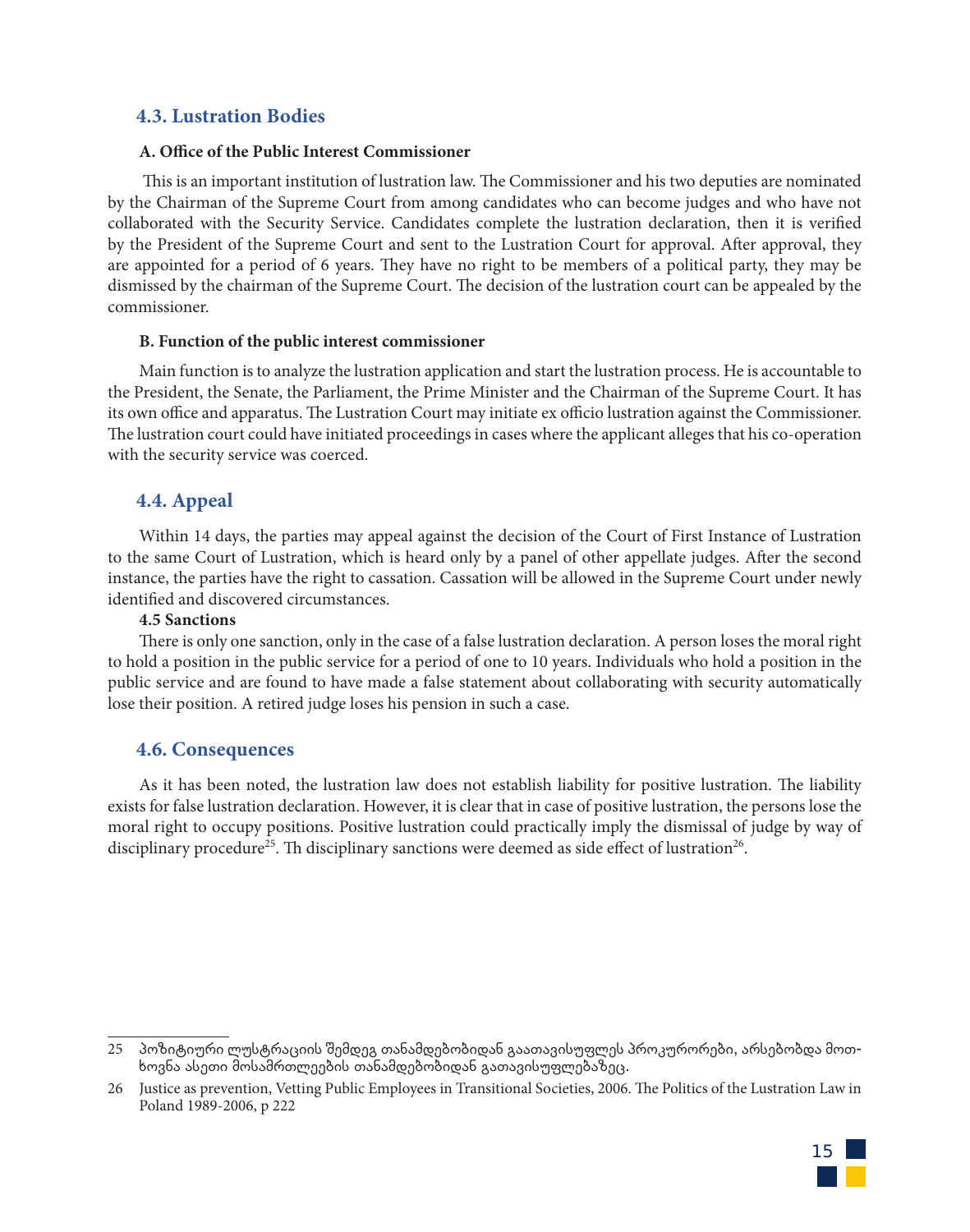# **4.3. Lustration Bodies**

## **A. Office of the Public Interest Commissioner**

This is an important institution of lustration law. The Commissioner and his two deputies are nominated by the Chairman of the Supreme Court from among candidates who can become judges and who have not collaborated with the Security Service. Candidates complete the lustration declaration, then it is verified by the President of the Supreme Court and sent to the Lustration Court for approval. After approval, they are appointed for a period of 6 years. They have no right to be members of a political party, they may be dismissed by the chairman of the Supreme Court. The decision of the lustration court can be appealed by the commissioner.

#### **B. Function of the public interest commissioner**

Main function is to analyze the lustration application and start the lustration process. He is accountable to the President, the Senate, the Parliament, the Prime Minister and the Chairman of the Supreme Court. It has its own office and apparatus. The Lustration Court may initiate ex officio lustration against the Commissioner. The lustration court could have initiated proceedings in cases where the applicant alleges that his co-operation with the security service was coerced.

# **4.4. Appeal**

Within 14 days, the parties may appeal against the decision of the Court of First Instance of Lustration to the same Court of Lustration, which is heard only by a panel of other appellate judges. After the second instance, the parties have the right to cassation. Cassation will be allowed in the Supreme Court under newly identified and discovered circumstances.

#### **4.5 Sanctions**

There is only one sanction, only in the case of a false lustration declaration. A person loses the moral right to hold a position in the public service for a period of one to 10 years. Individuals who hold a position in the public service and are found to have made a false statement about collaborating with security automatically lose their position. A retired judge loses his pension in such a case.

# **4.6. Consequences**

As it has been noted, the lustration law does not establish liability for positive lustration. The liability exists for false lustration declaration. However, it is clear that in case of positive lustration, the persons lose the moral right to occupy positions. Positive lustration could practically imply the dismissal of judge by way of disciplinary procedure<sup>25</sup>. Th disciplinary sanctions were deemed as side effect of lustration<sup>26</sup>.

<sup>26</sup> Justice as prevention, Vetting Public Employees in Transitional Societies, 2006. The Politics of the Lustration Law in Poland 1989-2006, p 222



<sup>25</sup> პოზიტიური ლუსტრაციის შემდეგ თანამდებობიდან გაათავისუფლეს პროკურორები, არსებობდა მოთხოვნა ასეთი მოსამრთლეების თანამდებობიდან გათავისუფლებაზეც.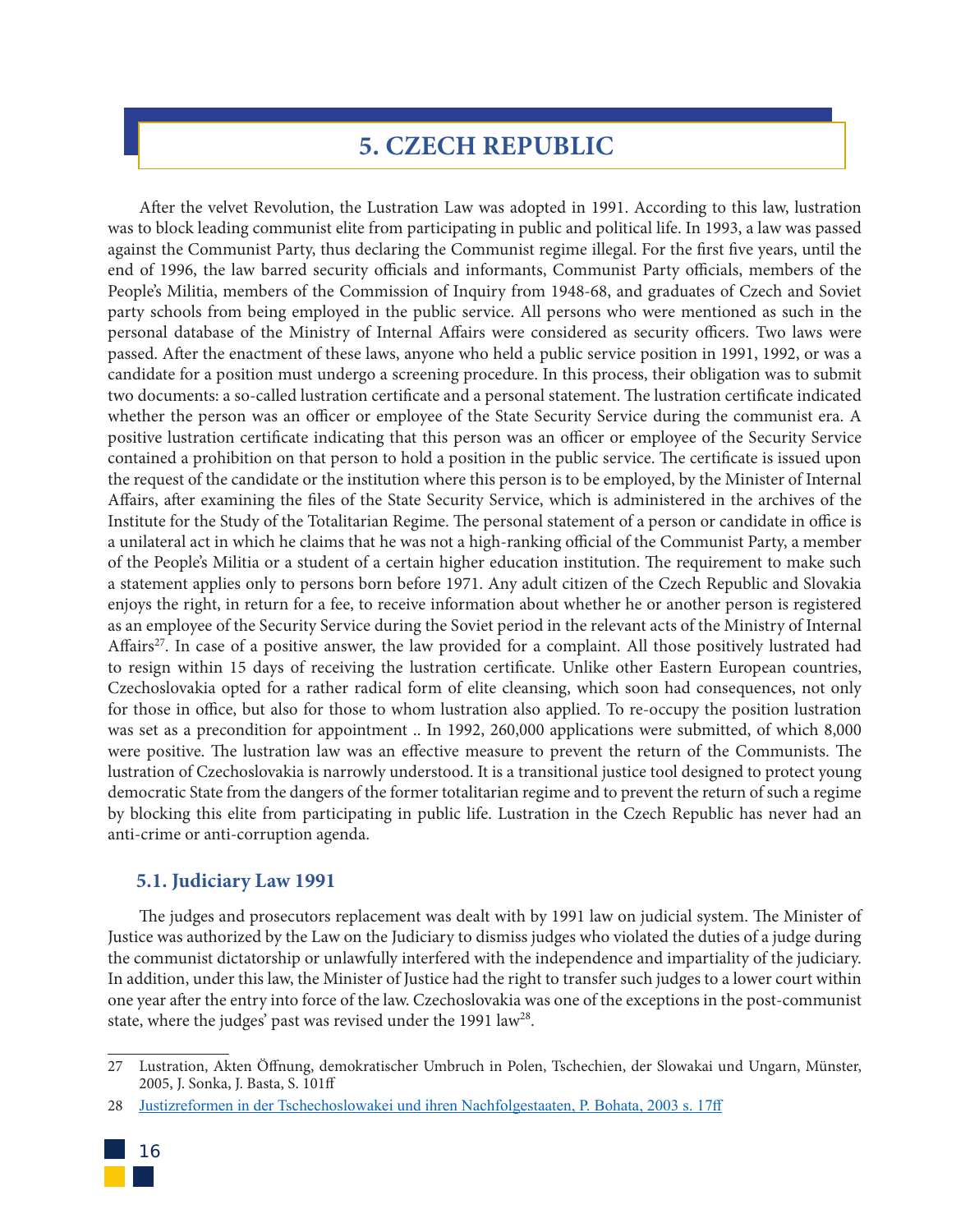# **5. CZECH REPUBLIC**

After the velvet Revolution, the Lustration Law was adopted in 1991. According to this law, lustration was to block leading communist elite from participating in public and political life. In 1993, a law was passed against the Communist Party, thus declaring the Communist regime illegal. For the first five years, until the end of 1996, the law barred security officials and informants, Communist Party officials, members of the People's Militia, members of the Commission of Inquiry from 1948-68, and graduates of Czech and Soviet party schools from being employed in the public service. All persons who were mentioned as such in the personal database of the Ministry of Internal Affairs were considered as security officers. Two laws were passed. After the enactment of these laws, anyone who held a public service position in 1991, 1992, or was a candidate for a position must undergo a screening procedure. In this process, their obligation was to submit two documents: a so-called lustration certificate and a personal statement. The lustration certificate indicated whether the person was an officer or employee of the State Security Service during the communist era. A positive lustration certificate indicating that this person was an officer or employee of the Security Service contained a prohibition on that person to hold a position in the public service. The certificate is issued upon the request of the candidate or the institution where this person is to be employed, by the Minister of Internal Affairs, after examining the files of the State Security Service, which is administered in the archives of the Institute for the Study of the Totalitarian Regime. The personal statement of a person or candidate in office is a unilateral act in which he claims that he was not a high-ranking official of the Communist Party, a member of the People's Militia or a student of a certain higher education institution. The requirement to make such a statement applies only to persons born before 1971. Any adult citizen of the Czech Republic and Slovakia enjoys the right, in return for a fee, to receive information about whether he or another person is registered as an employee of the Security Service during the Soviet period in the relevant acts of the Ministry of Internal Affairs<sup>27</sup>. In case of a positive answer, the law provided for a complaint. All those positively lustrated had to resign within 15 days of receiving the lustration certificate. Unlike other Eastern European countries, Czechoslovakia opted for a rather radical form of elite cleansing, which soon had consequences, not only for those in office, but also for those to whom lustration also applied. To re-occupy the position lustration was set as a precondition for appointment .. In 1992, 260,000 applications were submitted, of which 8,000 were positive. The lustration law was an effective measure to prevent the return of the Communists. The lustration of Czechoslovakia is narrowly understood. It is a transitional justice tool designed to protect young democratic State from the dangers of the former totalitarian regime and to prevent the return of such a regime by blocking this elite from participating in public life. Lustration in the Czech Republic has never had an anti-crime or anti-corruption agenda.

# **5.1. Judiciary Law 1991**

The judges and prosecutors replacement was dealt with by 1991 law on judicial system. The Minister of Justice was authorized by the Law on the Judiciary to dismiss judges who violated the duties of a judge during the communist dictatorship or unlawfully interfered with the independence and impartiality of the judiciary. In addition, under this law, the Minister of Justice had the right to transfer such judges to a lower court within one year after the entry into force of the law. Czechoslovakia was one of the exceptions in the post-communist state, where the judges' past was revised under the 1991 law<sup>28</sup>.

<sup>28</sup> Justizreformen in der Tschechoslowakei und ihren Nachfolgestaaten, P. Bohata, 2003 s. 17ff



<sup>27</sup> Lustration, Akten Öffnung, demokratischer Umbruch in Polen, Tschechien, der Slowakai und Ungarn, Münster, 2005, J. Sonka, J. Basta, S. 101ff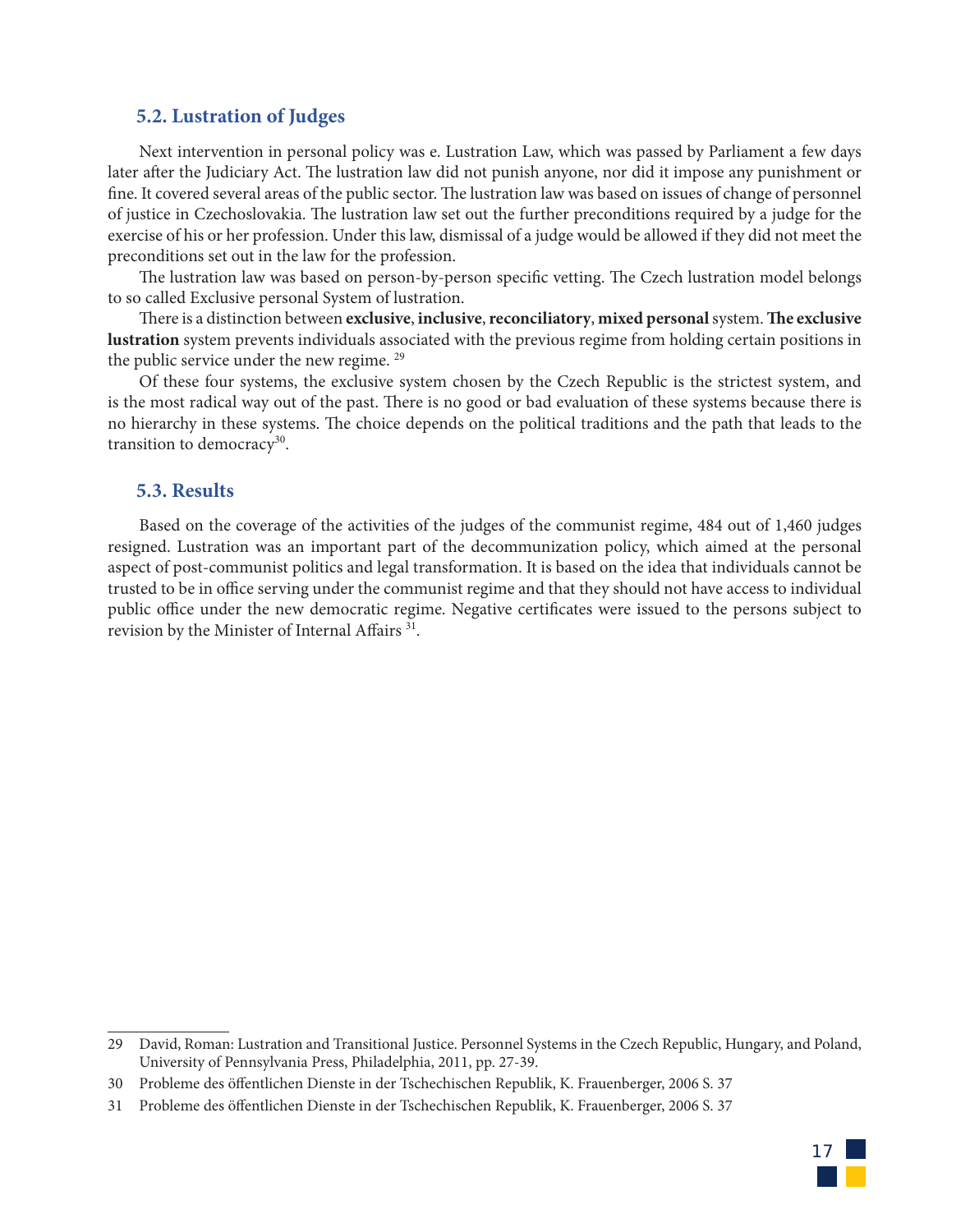## **5.2. Lustration of Judges**

Next intervention in personal policy was e. Lustration Law, which was passed by Parliament a few days later after the Judiciary Act. The lustration law did not punish anyone, nor did it impose any punishment or fine. It covered several areas of the public sector. The lustration law was based on issues of change of personnel of justice in Czechoslovakia. The lustration law set out the further preconditions required by a judge for the exercise of his or her profession. Under this law, dismissal of a judge would be allowed if they did not meet the preconditions set out in the law for the profession.

The lustration law was based on person-by-person specific vetting. The Czech lustration model belongs to so called Exclusive personal System of lustration.

There is a distinction between **exclusive**, **inclusive**, **reconciliatory**, **mixed personal** system. **The exclusive lustration** system prevents individuals associated with the previous regime from holding certain positions in the public service under the new regime.<sup>29</sup>

Of these four systems, the exclusive system chosen by the Czech Republic is the strictest system, and is the most radical way out of the past. There is no good or bad evaluation of these systems because there is no hierarchy in these systems. The choice depends on the political traditions and the path that leads to the transition to democracy<sup>30</sup>.

#### **5.3. Results**

Based on the coverage of the activities of the judges of the communist regime, 484 out of 1,460 judges resigned. Lustration was an important part of the decommunization policy, which aimed at the personal aspect of post-communist politics and legal transformation. It is based on the idea that individuals cannot be trusted to be in office serving under the communist regime and that they should not have access to individual public office under the new democratic regime. Negative certificates were issued to the persons subject to revision by the Minister of Internal Affairs<sup>31</sup>.



<sup>29</sup> David, Roman: Lustration and Transitional Justice. Personnel Systems in the Czech Republic, Hungary, and Poland, University of Pennsylvania Press, Philadelphia, 2011, pp. 27-39.

<sup>30</sup> Probleme des öffentlichen Dienste in der Tschechischen Republik, K. Frauenberger, 2006 S. 37

<sup>31</sup> Probleme des öffentlichen Dienste in der Tschechischen Republik, K. Frauenberger, 2006 S. 37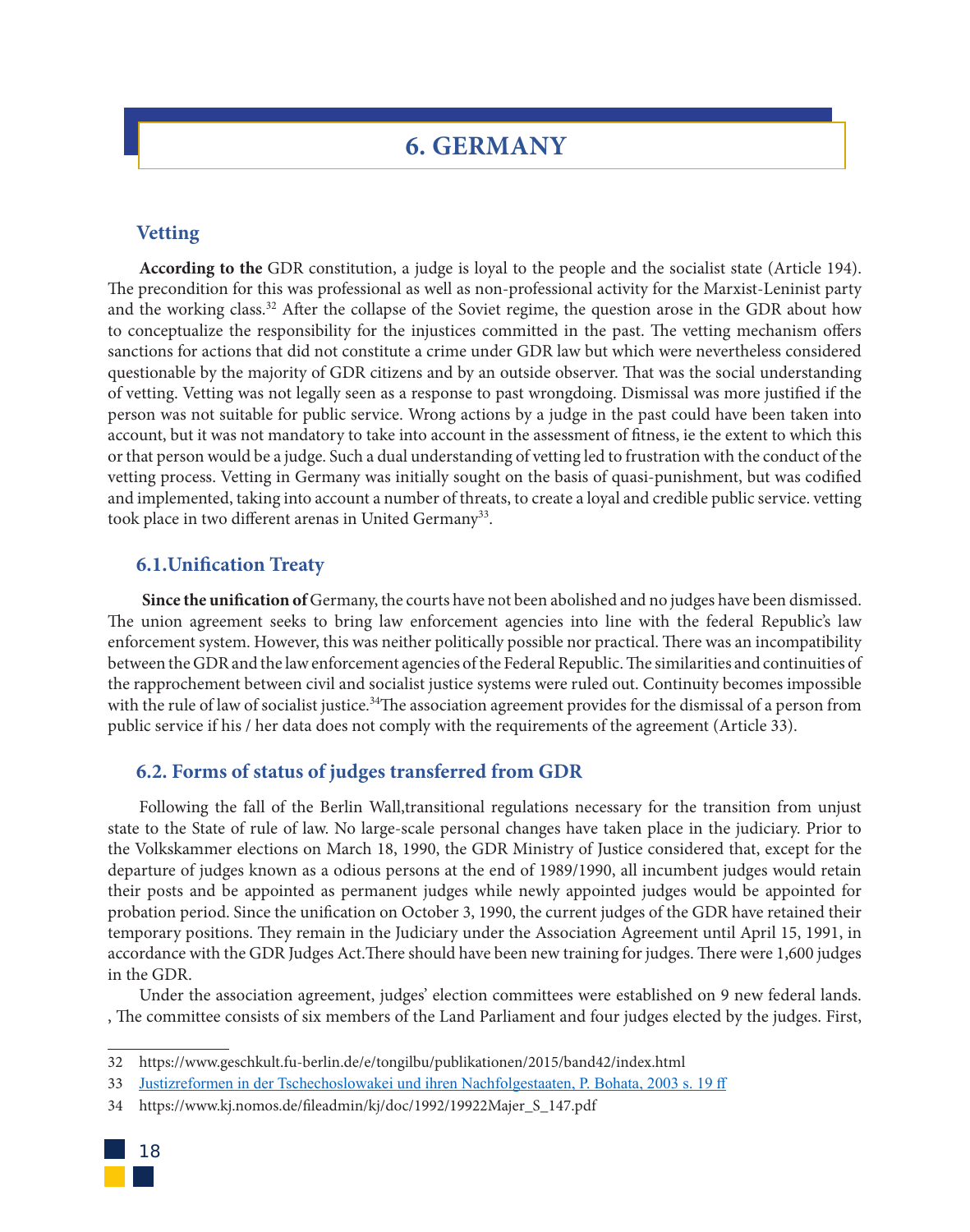# **6. GERMANY**

## **Vetting**

**According to the** GDR constitution, a judge is loyal to the people and the socialist state (Article 194). The precondition for this was professional as well as non-professional activity for the Marxist-Leninist party and the working class.<sup>32</sup> After the collapse of the Soviet regime, the question arose in the GDR about how to conceptualize the responsibility for the injustices committed in the past. The vetting mechanism offers sanctions for actions that did not constitute a crime under GDR law but which were nevertheless considered questionable by the majority of GDR citizens and by an outside observer. That was the social understanding of vetting. Vetting was not legally seen as a response to past wrongdoing. Dismissal was more justified if the person was not suitable for public service. Wrong actions by a judge in the past could have been taken into account, but it was not mandatory to take into account in the assessment of fitness, ie the extent to which this or that person would be a judge. Such a dual understanding of vetting led to frustration with the conduct of the vetting process. Vetting in Germany was initially sought on the basis of quasi-punishment, but was codified and implemented, taking into account a number of threats, to create a loyal and credible public service. vetting took place in two different arenas in United Germany<sup>33</sup>.

### **6.1.Unification Treaty**

 **Since the unification of** Germany, the courts have not been abolished and no judges have been dismissed. The union agreement seeks to bring law enforcement agencies into line with the federal Republic's law enforcement system. However, this was neither politically possible nor practical. There was an incompatibility between the GDR and the law enforcement agencies of the Federal Republic. The similarities and continuities of the rapprochement between civil and socialist justice systems were ruled out. Continuity becomes impossible with the rule of law of socialist justice.<sup>34</sup>The association agreement provides for the dismissal of a person from public service if his / her data does not comply with the requirements of the agreement (Article 33).

## **6.2. Forms of status of judges transferred from GDR**

Following the fall of the Berlin Wall,transitional regulations necessary for the transition from unjust state to the State of rule of law. No large-scale personal changes have taken place in the judiciary. Prior to the Volkskammer elections on March 18, 1990, the GDR Ministry of Justice considered that, except for the departure of judges known as a odious persons at the end of 1989/1990, all incumbent judges would retain their posts and be appointed as permanent judges while newly appointed judges would be appointed for probation period. Since the unification on October 3, 1990, the current judges of the GDR have retained their temporary positions. They remain in the Judiciary under the Association Agreement until April 15, 1991, in accordance with the GDR Judges Act.There should have been new training for judges. There were 1,600 judges in the GDR.

Under the association agreement, judges' election committees were established on 9 new federal lands. , The committee consists of six members of the Land Parliament and four judges elected by the judges. First,

<sup>34</sup> https://www.kj.nomos.de/fileadmin/kj/doc/1992/19922Majer\_S\_147.pdf



<sup>32</sup> https://www.geschkult.fu-berlin.de/e/tongilbu/publikationen/2015/band42/index.html

<sup>33</sup> Justizreformen in der Tschechoslowakei und ihren Nachfolgestaaten, P. Bohata, 2003 s. 19 ff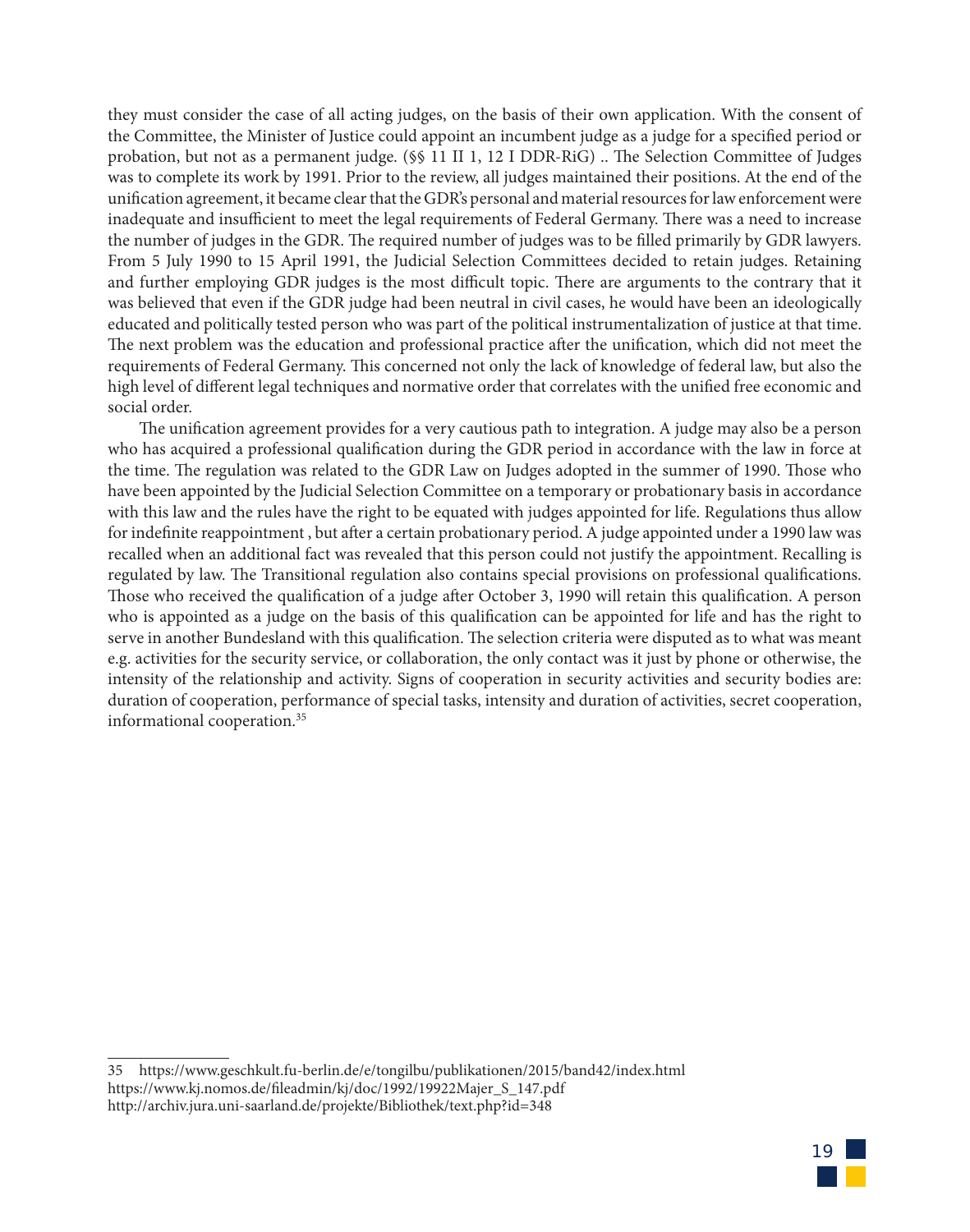they must consider the case of all acting judges, on the basis of their own application. With the consent of the Committee, the Minister of Justice could appoint an incumbent judge as a judge for a specified period or probation, but not as a permanent judge. (§§ 11 II 1, 12 I DDR-RiG) .. The Selection Committee of Judges was to complete its work by 1991. Prior to the review, all judges maintained their positions. At the end of the unification agreement, it became clear that the GDR's personal and material resources for law enforcement were inadequate and insufficient to meet the legal requirements of Federal Germany. There was a need to increase the number of judges in the GDR. The required number of judges was to be filled primarily by GDR lawyers. From 5 July 1990 to 15 April 1991, the Judicial Selection Committees decided to retain judges. Retaining and further employing GDR judges is the most difficult topic. There are arguments to the contrary that it was believed that even if the GDR judge had been neutral in civil cases, he would have been an ideologically educated and politically tested person who was part of the political instrumentalization of justice at that time. The next problem was the education and professional practice after the unification, which did not meet the requirements of Federal Germany. This concerned not only the lack of knowledge of federal law, but also the high level of different legal techniques and normative order that correlates with the unified free economic and social order.

The unification agreement provides for a very cautious path to integration. A judge may also be a person who has acquired a professional qualification during the GDR period in accordance with the law in force at the time. The regulation was related to the GDR Law on Judges adopted in the summer of 1990. Those who have been appointed by the Judicial Selection Committee on a temporary or probationary basis in accordance with this law and the rules have the right to be equated with judges appointed for life. Regulations thus allow for indefinite reappointment , but after a certain probationary period. A judge appointed under a 1990 law was recalled when an additional fact was revealed that this person could not justify the appointment. Recalling is regulated by law. The Transitional regulation also contains special provisions on professional qualifications. Those who received the qualification of a judge after October 3, 1990 will retain this qualification. A person who is appointed as a judge on the basis of this qualification can be appointed for life and has the right to serve in another Bundesland with this qualification. The selection criteria were disputed as to what was meant e.g. activities for the security service, or collaboration, the only contact was it just by phone or otherwise, the intensity of the relationship and activity. Signs of cooperation in security activities and security bodies are: duration of cooperation, performance of special tasks, intensity and duration of activities, secret cooperation, informational cooperation.35



<sup>35</sup> https://www.geschkult.fu-berlin.de/e/tongilbu/publikationen/2015/band42/index.html https://www.kj.nomos.de/fileadmin/kj/doc/1992/19922Majer\_S\_147.pdf http://archiv.jura.uni-saarland.de/projekte/Bibliothek/text.php?id=348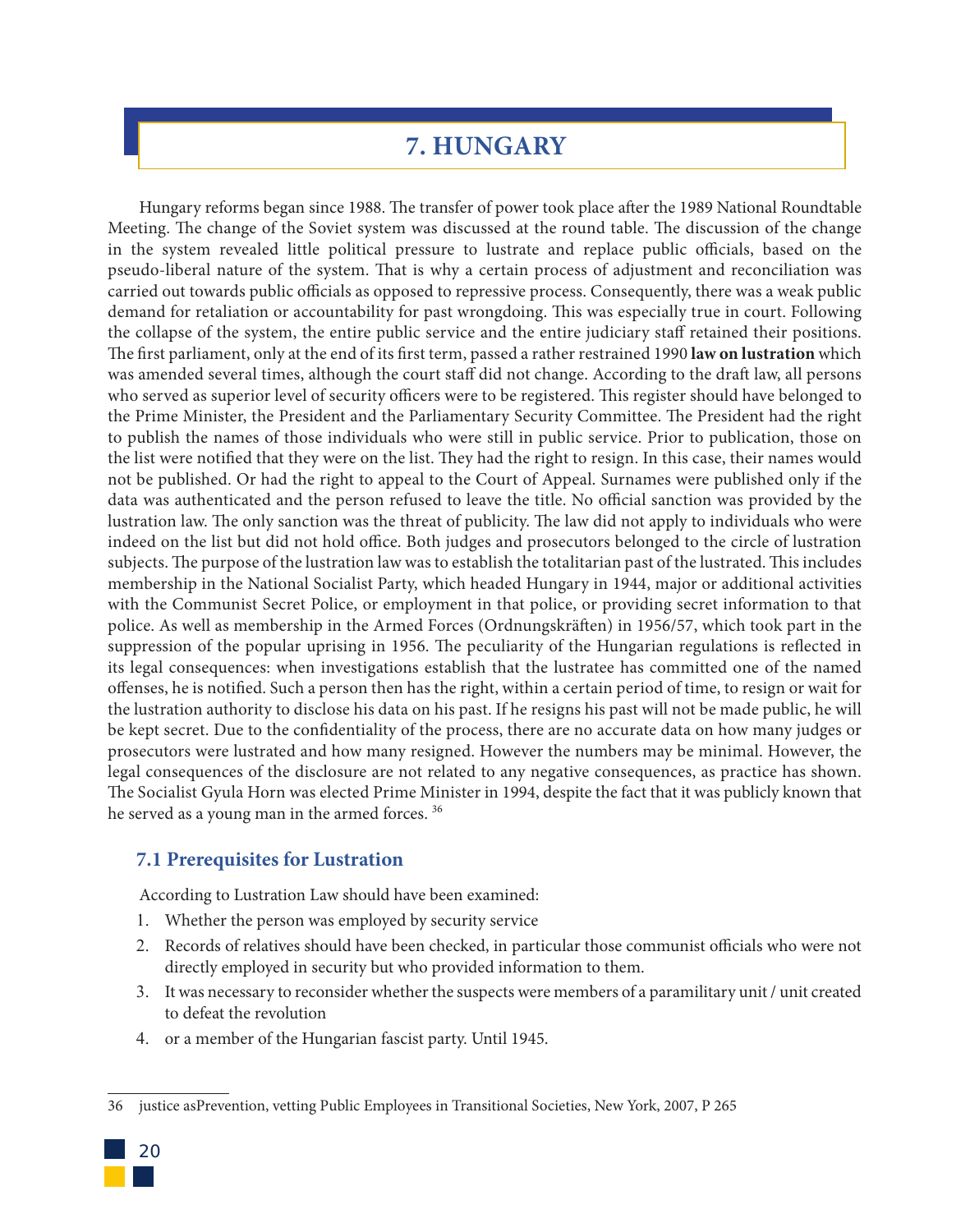# **7. HUNGARY**

Hungary reforms began since 1988. The transfer of power took place after the 1989 National Roundtable Meeting. The change of the Soviet system was discussed at the round table. The discussion of the change in the system revealed little political pressure to lustrate and replace public officials, based on the pseudo-liberal nature of the system. That is why a certain process of adjustment and reconciliation was carried out towards public officials as opposed to repressive process. Consequently, there was a weak public demand for retaliation or accountability for past wrongdoing. This was especially true in court. Following the collapse of the system, the entire public service and the entire judiciary staff retained their positions. The first parliament, only at the end of its first term, passed a rather restrained 1990 **law on lustration** which was amended several times, although the court staff did not change. According to the draft law, all persons who served as superior level of security officers were to be registered. This register should have belonged to the Prime Minister, the President and the Parliamentary Security Committee. The President had the right to publish the names of those individuals who were still in public service. Prior to publication, those on the list were notified that they were on the list. They had the right to resign. In this case, their names would not be published. Or had the right to appeal to the Court of Appeal. Surnames were published only if the data was authenticated and the person refused to leave the title. No official sanction was provided by the lustration law. The only sanction was the threat of publicity. The law did not apply to individuals who were indeed on the list but did not hold office. Both judges and prosecutors belonged to the circle of lustration subjects. The purpose of the lustration law was to establish the totalitarian past of the lustrated. This includes membership in the National Socialist Party, which headed Hungary in 1944, major or additional activities with the Communist Secret Police, or employment in that police, or providing secret information to that police. As well as membership in the Armed Forces (Ordnungskräften) in 1956/57, which took part in the suppression of the popular uprising in 1956. The peculiarity of the Hungarian regulations is reflected in its legal consequences: when investigations establish that the lustratee has committed one of the named offenses, he is notified. Such a person then has the right, within a certain period of time, to resign or wait for the lustration authority to disclose his data on his past. If he resigns his past will not be made public, he will be kept secret. Due to the confidentiality of the process, there are no accurate data on how many judges or prosecutors were lustrated and how many resigned. However the numbers may be minimal. However, the legal consequences of the disclosure are not related to any negative consequences, as practice has shown. The Socialist Gyula Horn was elected Prime Minister in 1994, despite the fact that it was publicly known that he served as a young man in the armed forces.<sup>36</sup>

# **7.1 Prerequisites for Lustration**

According to Lustration Law should have been examined:

- 1. Whether the person was employed by security service
- 2. Records of relatives should have been checked, in particular those communist officials who were not directly employed in security but who provided information to them.
- 3. It was necessary to reconsider whether the suspects were members of a paramilitary unit / unit created to defeat the revolution
- 4. or a member of the Hungarian fascist party. Until 1945.

<sup>36</sup> justice asPrevention, vetting Public Employees in Transitional Societies, New York, 2007, P 265

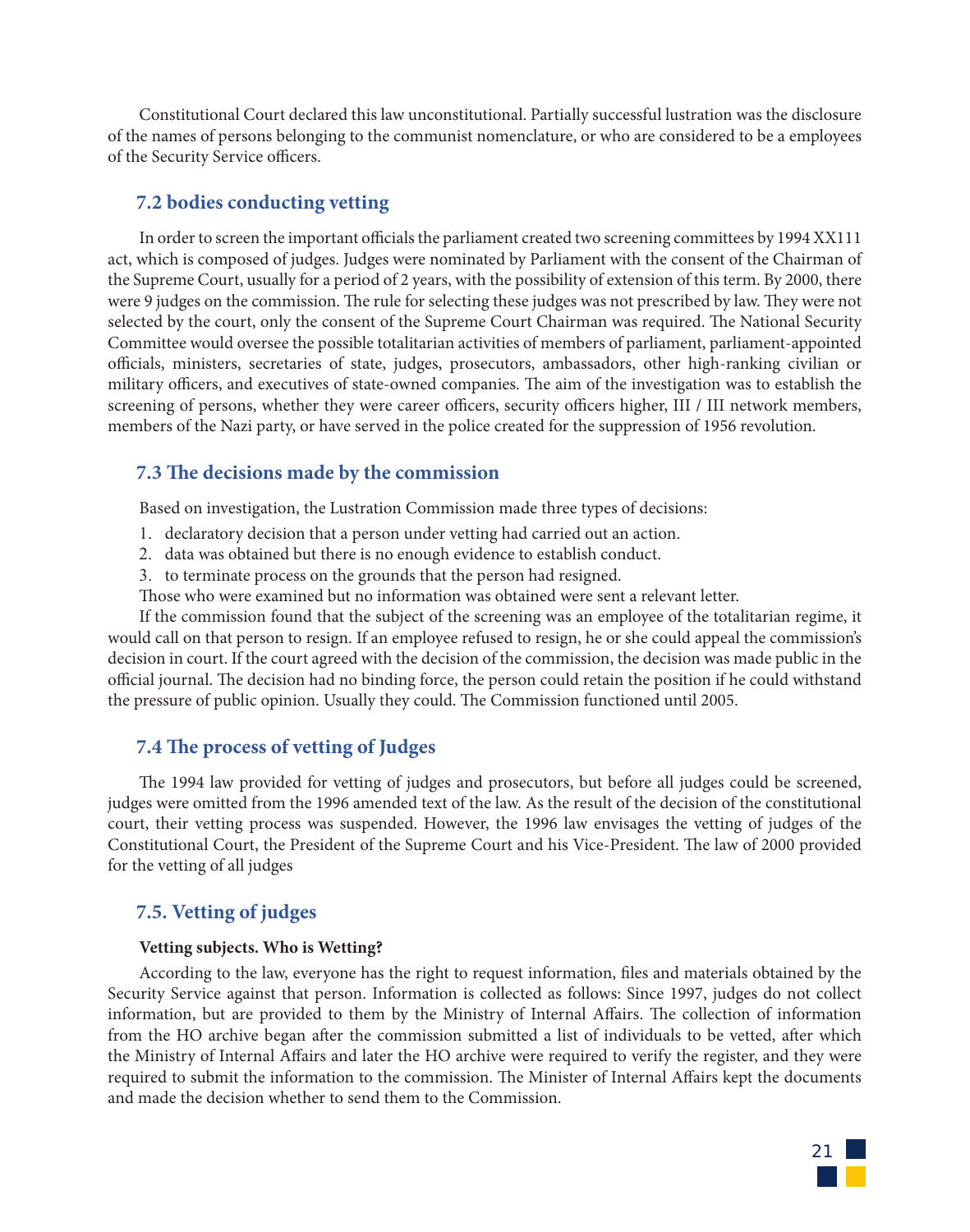Constitutional Court declared this law unconstitutional. Partially successful lustration was the disclosure of the names of persons belonging to the communist nomenclature, or who are considered to be a employees of the Security Service officers.

## **7.2 bodies conducting vetting**

In order to screen the important officials the parliament created two screening committees by 1994 XX111 act, which is composed of judges. Judges were nominated by Parliament with the consent of the Chairman of the Supreme Court, usually for a period of 2 years, with the possibility of extension of this term. By 2000, there were 9 judges on the commission. The rule for selecting these judges was not prescribed by law. They were not selected by the court, only the consent of the Supreme Court Chairman was required. The National Security Committee would oversee the possible totalitarian activities of members of parliament, parliament-appointed officials, ministers, secretaries of state, judges, prosecutors, ambassadors, other high-ranking civilian or military officers, and executives of state-owned companies. The aim of the investigation was to establish the screening of persons, whether they were career officers, security officers higher, III / III network members, members of the Nazi party, or have served in the police created for the suppression of 1956 revolution.

# **7.3 The decisions made by the commission**

Based on investigation, the Lustration Commission made three types of decisions:

- 1. declaratory decision that a person under vetting had carried out an action.
- 2. data was obtained but there is no enough evidence to establish conduct.
- 3. to terminate process on the grounds that the person had resigned.

Those who were examined but no information was obtained were sent a relevant letter.

If the commission found that the subject of the screening was an employee of the totalitarian regime, it would call on that person to resign. If an employee refused to resign, he or she could appeal the commission's decision in court. If the court agreed with the decision of the commission, the decision was made public in the official journal. The decision had no binding force, the person could retain the position if he could withstand the pressure of public opinion. Usually they could. The Commission functioned until 2005.

# **7.4 The process of vetting of Judges**

The 1994 law provided for vetting of judges and prosecutors, but before all judges could be screened, judges were omitted from the 1996 amended text of the law. As the result of the decision of the constitutional court, their vetting process was suspended. However, the 1996 law envisages the vetting of judges of the Constitutional Court, the President of the Supreme Court and his Vice-President. The law of 2000 provided for the vetting of all judges

# **7.5. Vetting of judges**

#### **Vetting subjects. Who is Wetting?**

According to the law, everyone has the right to request information, files and materials obtained by the Security Service against that person. Information is collected as follows: Since 1997, judges do not collect information, but are provided to them by the Ministry of Internal Affairs. The collection of information from the HO archive began after the commission submitted a list of individuals to be vetted, after which the Ministry of Internal Affairs and later the HO archive were required to verify the register, and they were required to submit the information to the commission. The Minister of Internal Affairs kept the documents and made the decision whether to send them to the Commission.

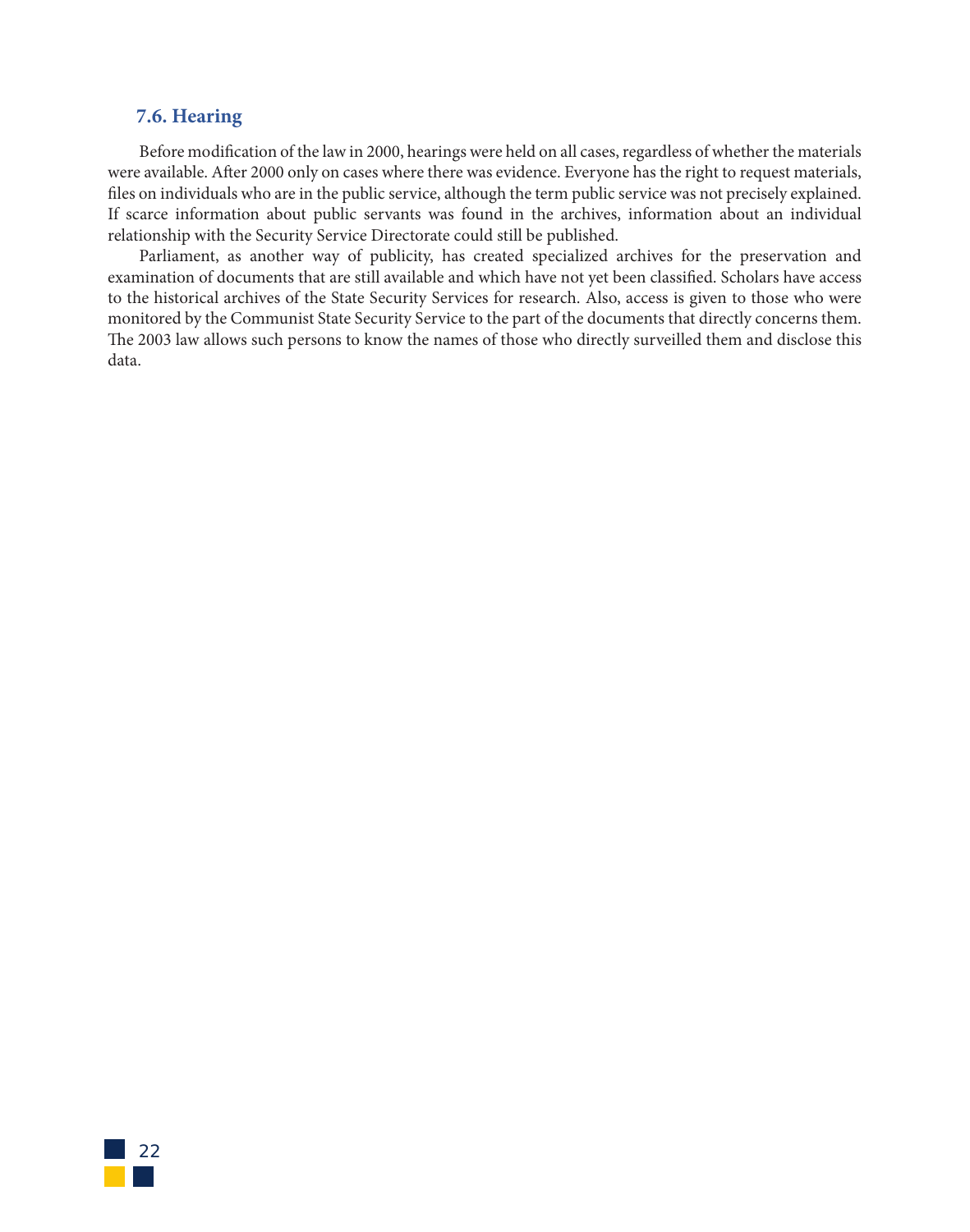## **7.6. Hearing**

Before modification of the law in 2000, hearings were held on all cases, regardless of whether the materials were available. After 2000 only on cases where there was evidence. Everyone has the right to request materials, files on individuals who are in the public service, although the term public service was not precisely explained. If scarce information about public servants was found in the archives, information about an individual relationship with the Security Service Directorate could still be published.

Parliament, as another way of publicity, has created specialized archives for the preservation and examination of documents that are still available and which have not yet been classified. Scholars have access to the historical archives of the State Security Services for research. Also, access is given to those who were monitored by the Communist State Security Service to the part of the documents that directly concerns them. The 2003 law allows such persons to know the names of those who directly surveilled them and disclose this data.

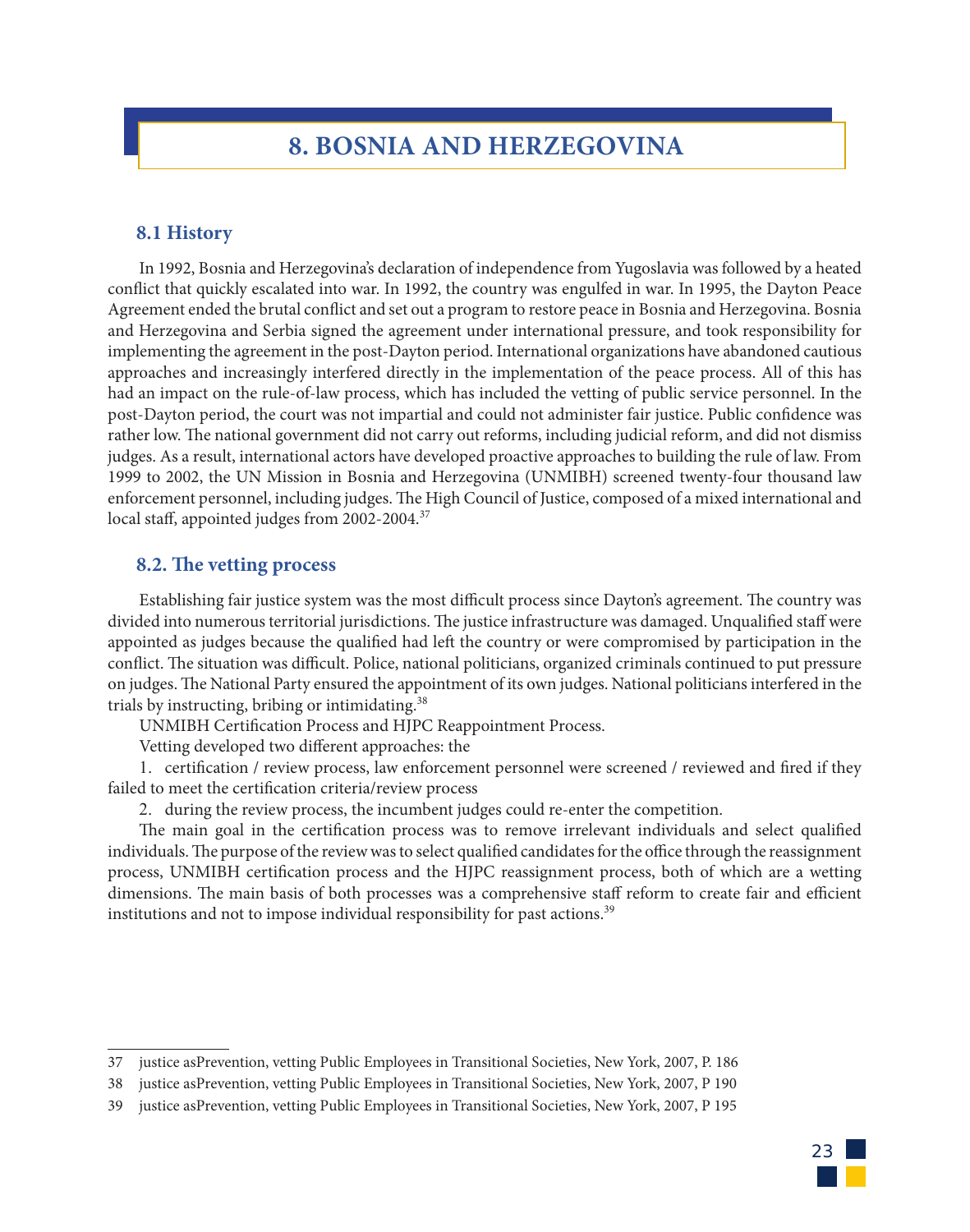# **8. BOSNIA AND HERZEGOVINA**

#### **8.1 History**

In 1992, Bosnia and Herzegovina's declaration of independence from Yugoslavia was followed by a heated conflict that quickly escalated into war. In 1992, the country was engulfed in war. In 1995, the Dayton Peace Agreement ended the brutal conflict and set out a program to restore peace in Bosnia and Herzegovina. Bosnia and Herzegovina and Serbia signed the agreement under international pressure, and took responsibility for implementing the agreement in the post-Dayton period. International organizations have abandoned cautious approaches and increasingly interfered directly in the implementation of the peace process. All of this has had an impact on the rule-of-law process, which has included the vetting of public service personnel. In the post-Dayton period, the court was not impartial and could not administer fair justice. Public confidence was rather low. The national government did not carry out reforms, including judicial reform, and did not dismiss judges. As a result, international actors have developed proactive approaches to building the rule of law. From 1999 to 2002, the UN Mission in Bosnia and Herzegovina (UNMIBH) screened twenty-four thousand law enforcement personnel, including judges. The High Council of Justice, composed of a mixed international and local staff, appointed judges from 2002-2004.<sup>37</sup>

#### **8.2. The vetting process**

Establishing fair justice system was the most difficult process since Dayton's agreement. The country was divided into numerous territorial jurisdictions. The justice infrastructure was damaged. Unqualified staff were appointed as judges because the qualified had left the country or were compromised by participation in the conflict. The situation was difficult. Police, national politicians, organized criminals continued to put pressure on judges. The National Party ensured the appointment of its own judges. National politicians interfered in the trials by instructing, bribing or intimidating.<sup>38</sup>

UNMIBH Certification Process and HJPC Reappointment Process.

Vetting developed two different approaches: the

1. certification / review process, law enforcement personnel were screened / reviewed and fired if they failed to meet the certification criteria/review process

2. during the review process, the incumbent judges could re-enter the competition.

The main goal in the certification process was to remove irrelevant individuals and select qualified individuals. The purpose of the review was to select qualified candidates for the office through the reassignment process, UNMIBH certification process and the HJPC reassignment process, both of which are a wetting dimensions. The main basis of both processes was a comprehensive staff reform to create fair and efficient institutions and not to impose individual responsibility for past actions.<sup>39</sup>

23

<sup>37</sup> justice asPrevention, vetting Public Employees in Transitional Societies, New York, 2007, P. 186

<sup>38</sup> justice asPrevention, vetting Public Employees in Transitional Societies, New York, 2007, P 190

<sup>39</sup> justice asPrevention, vetting Public Employees in Transitional Societies, New York, 2007, P 195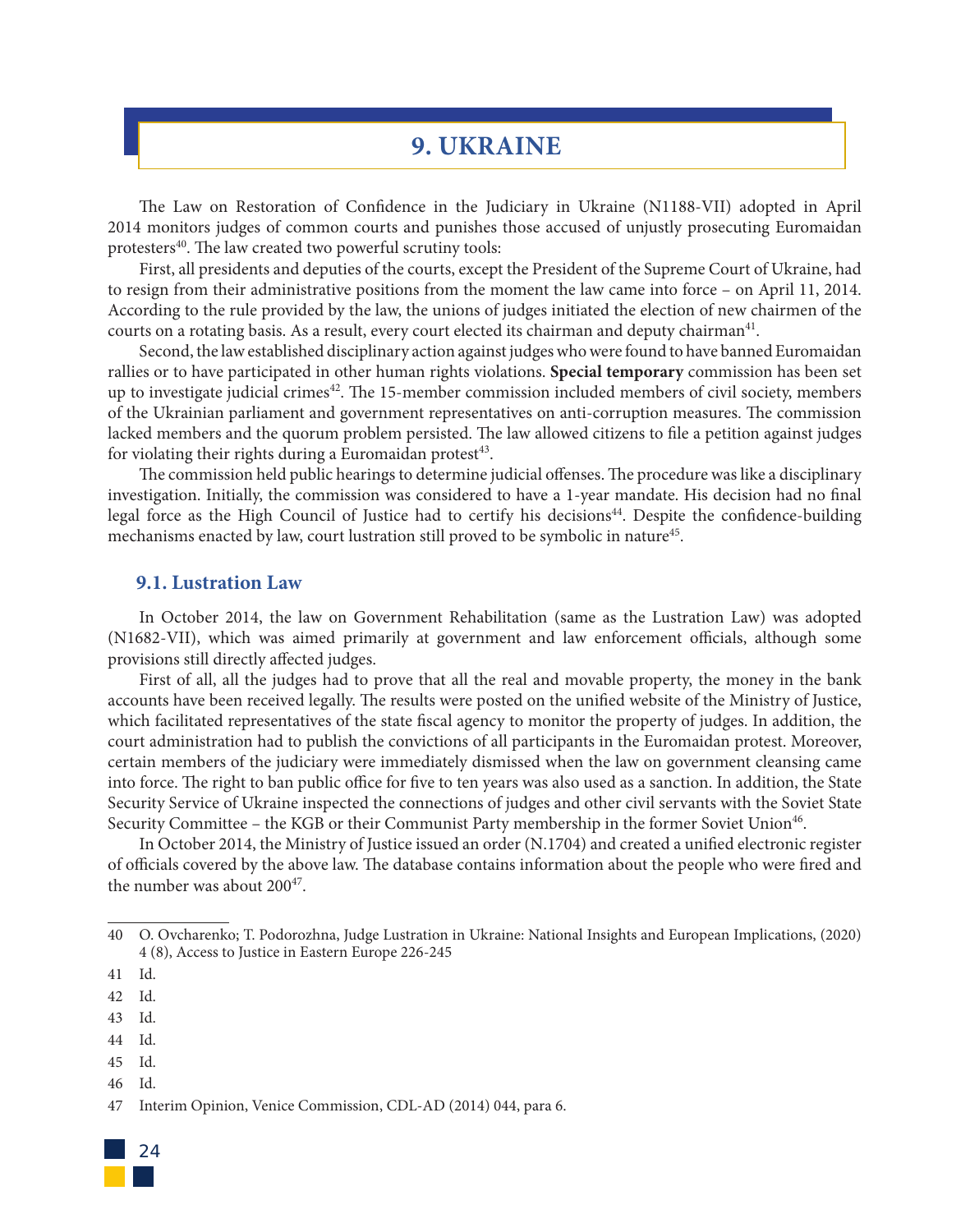# **9. UKRAINE**

The Law on Restoration of Confidence in the Judiciary in Ukraine (N1188-VII) adopted in April 2014 monitors judges of common courts and punishes those accused of unjustly prosecuting Euromaidan protesters<sup>40</sup>. The law created two powerful scrutiny tools:

First, all presidents and deputies of the courts, except the President of the Supreme Court of Ukraine, had to resign from their administrative positions from the moment the law came into force – on April 11, 2014. According to the rule provided by the law, the unions of judges initiated the election of new chairmen of the courts on a rotating basis. As a result, every court elected its chairman and deputy chairman<sup>41</sup>.

Second, the law established disciplinary action against judges who were found to have banned Euromaidan rallies or to have participated in other human rights violations. **Special temporary** commission has been set up to investigate judicial crimes<sup>42</sup>. The 15-member commission included members of civil society, members of the Ukrainian parliament and government representatives on anti-corruption measures. The commission lacked members and the quorum problem persisted. The law allowed citizens to file a petition against judges for violating their rights during a Euromaidan protest<sup>43</sup>.

The commission held public hearings to determine judicial offenses. The procedure was like a disciplinary investigation. Initially, the commission was considered to have a 1-year mandate. His decision had no final legal force as the High Council of Justice had to certify his decisions<sup>44</sup>. Despite the confidence-building mechanisms enacted by law, court lustration still proved to be symbolic in nature<sup>45</sup>.

#### **9.1. Lustration Law**

In October 2014, the law on Government Rehabilitation (same as the Lustration Law) was adopted (N1682-VII), which was aimed primarily at government and law enforcement officials, although some provisions still directly affected judges.

First of all, all the judges had to prove that all the real and movable property, the money in the bank accounts have been received legally. The results were posted on the unified website of the Ministry of Justice, which facilitated representatives of the state fiscal agency to monitor the property of judges. In addition, the court administration had to publish the convictions of all participants in the Euromaidan protest. Moreover, certain members of the judiciary were immediately dismissed when the law on government cleansing came into force. The right to ban public office for five to ten years was also used as a sanction. In addition, the State Security Service of Ukraine inspected the connections of judges and other civil servants with the Soviet State Security Committee – the KGB or their Communist Party membership in the former Soviet Union<sup>46</sup>.

In October 2014, the Ministry of Justice issued an order (N.1704) and created a unified electronic register of officials covered by the above law. The database contains information about the people who were fired and the number was about  $200^{47}$ .

- 43 Id.
- 44 Id.
- 45 Id.
- 46 Id.

<sup>47</sup> Interim Opinion, Venice Commission, CDL-AD (2014) 044, para 6.



<sup>40</sup> O. Ovcharenko; T. Podorozhna, Judge Lustration in Ukraine: National Insights and European Implications, (2020) 4 (8), Access to Justice in Eastern Europe 226-245

<sup>41</sup> Id.

<sup>42</sup> Id.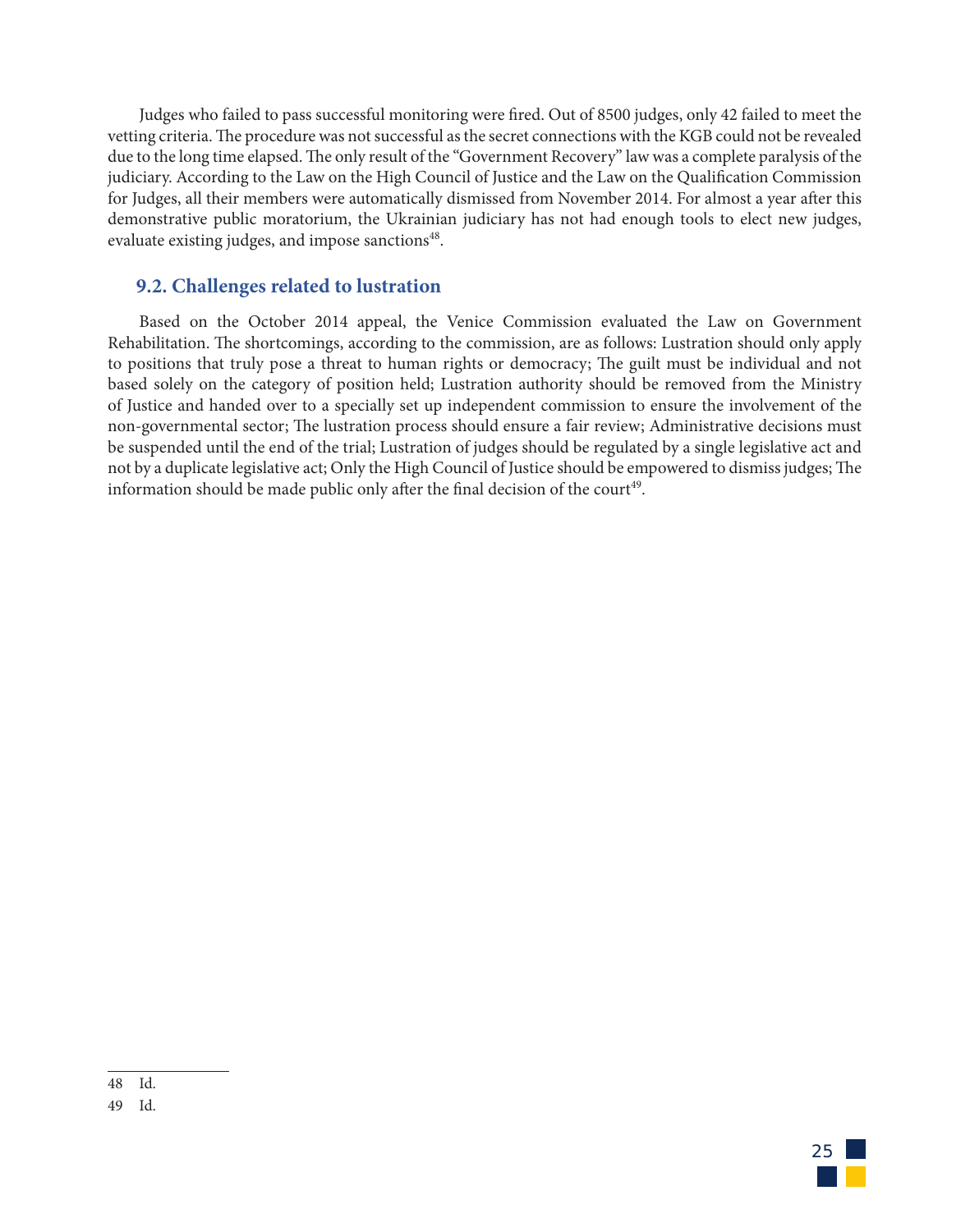Judges who failed to pass successful monitoring were fired. Out of 8500 judges, only 42 failed to meet the vetting criteria. The procedure was not successful as the secret connections with the KGB could not be revealed due to the long time elapsed. The only result of the "Government Recovery" law was a complete paralysis of the judiciary. According to the Law on the High Council of Justice and the Law on the Qualification Commission for Judges, all their members were automatically dismissed from November 2014. For almost a year after this demonstrative public moratorium, the Ukrainian judiciary has not had enough tools to elect new judges, evaluate existing judges, and impose sanctions<sup>48</sup>.

## **9.2. Challenges related to lustration**

Based on the October 2014 appeal, the Venice Commission evaluated the Law on Government Rehabilitation. The shortcomings, according to the commission, are as follows: Lustration should only apply to positions that truly pose a threat to human rights or democracy; The guilt must be individual and not based solely on the category of position held; Lustration authority should be removed from the Ministry of Justice and handed over to a specially set up independent commission to ensure the involvement of the non-governmental sector; The lustration process should ensure a fair review; Administrative decisions must be suspended until the end of the trial; Lustration of judges should be regulated by a single legislative act and not by a duplicate legislative act; Only the High Council of Justice should be empowered to dismiss judges; The information should be made public only after the final decision of the court<sup>49</sup>.



<sup>48</sup> Id.

<sup>49</sup> Id.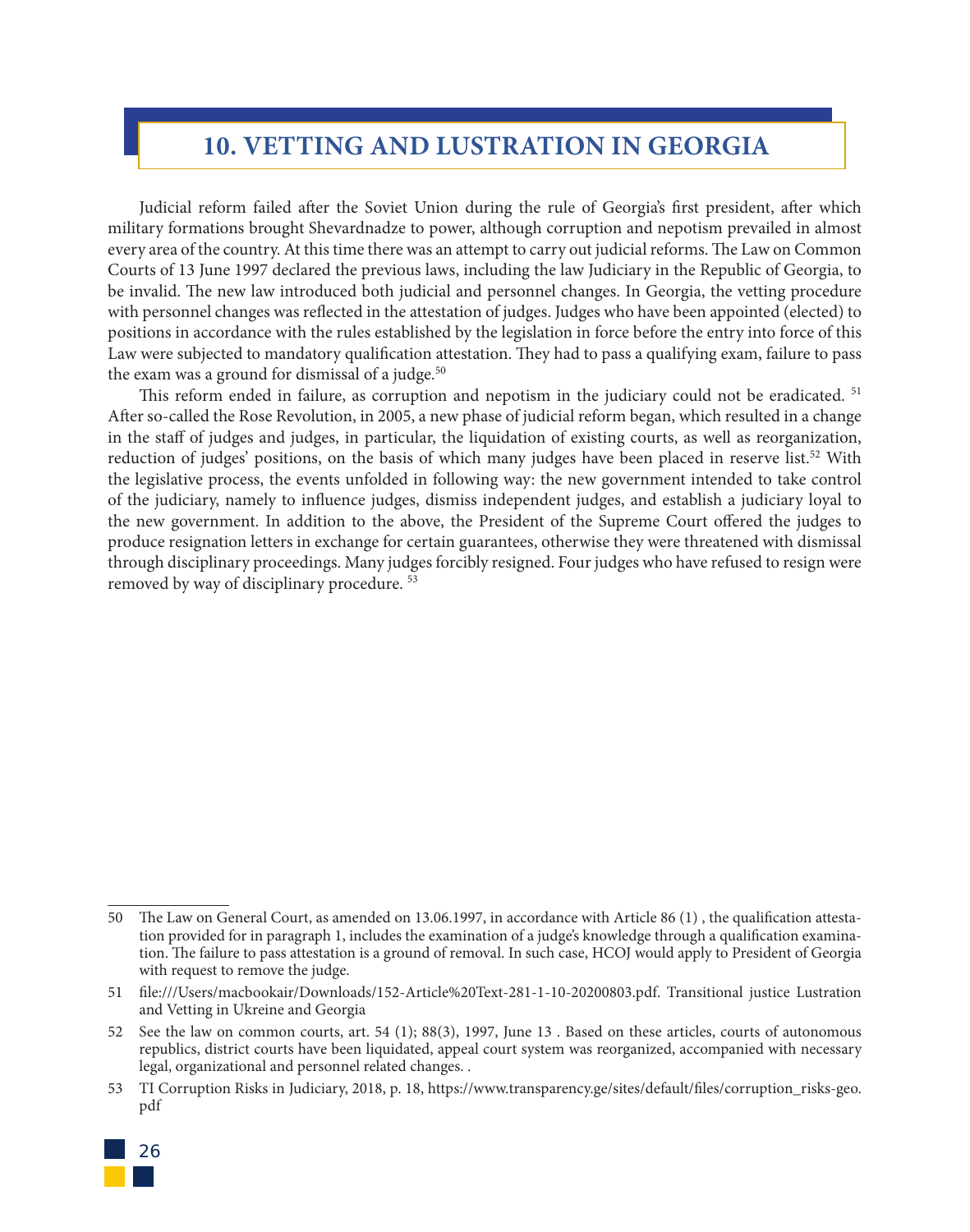# **10. VETTING AND LUSTRATION IN GEORGIA**

Judicial reform failed after the Soviet Union during the rule of Georgia's first president, after which military formations brought Shevardnadze to power, although corruption and nepotism prevailed in almost every area of the country. At this time there was an attempt to carry out judicial reforms. The Law on Common Courts of 13 June 1997 declared the previous laws, including the law Judiciary in the Republic of Georgia, to be invalid. The new law introduced both judicial and personnel changes. In Georgia, the vetting procedure with personnel changes was reflected in the attestation of judges. Judges who have been appointed (elected) to positions in accordance with the rules established by the legislation in force before the entry into force of this Law were subjected to mandatory qualification attestation. They had to pass a qualifying exam, failure to pass the exam was a ground for dismissal of a judge. $50$ 

This reform ended in failure, as corruption and nepotism in the judiciary could not be eradicated. <sup>51</sup> After so-called the Rose Revolution, in 2005, a new phase of judicial reform began, which resulted in a change in the staff of judges and judges, in particular, the liquidation of existing courts, as well as reorganization, reduction of judges' positions, on the basis of which many judges have been placed in reserve list.<sup>52</sup> With the legislative process, the events unfolded in following way: the new government intended to take control of the judiciary, namely to influence judges, dismiss independent judges, and establish a judiciary loyal to the new government. In addition to the above, the President of the Supreme Court offered the judges to produce resignation letters in exchange for certain guarantees, otherwise they were threatened with dismissal through disciplinary proceedings. Many judges forcibly resigned. Four judges who have refused to resign were removed by way of disciplinary procedure. 53

<sup>53</sup> TI Corruption Risks in Judiciary, 2018, p. 18, https://www.transparency.ge/sites/default/files/corruption\_risks-geo. pdf



<sup>50</sup> The Law on General Court, as amended on 13.06.1997, in accordance with Article 86 (1) , the qualification attestation provided for in paragraph 1, includes the examination of a judge's knowledge through a qualification examination. The failure to pass attestation is a ground of removal. In such case, HCOJ would apply to President of Georgia with request to remove the judge.

<sup>51</sup> file:///Users/macbookair/Downloads/152-Article%20Text-281-1-10-20200803.pdf. Transitional justice Lustration and Vetting in Ukreine and Georgia

<sup>52</sup> See the law on common courts, art. 54 (1); 88(3), 1997, June 13 . Based on these articles, courts of autonomous republics, district courts have been liquidated, appeal court system was reorganized, accompanied with necessary legal, organizational and personnel related changes. .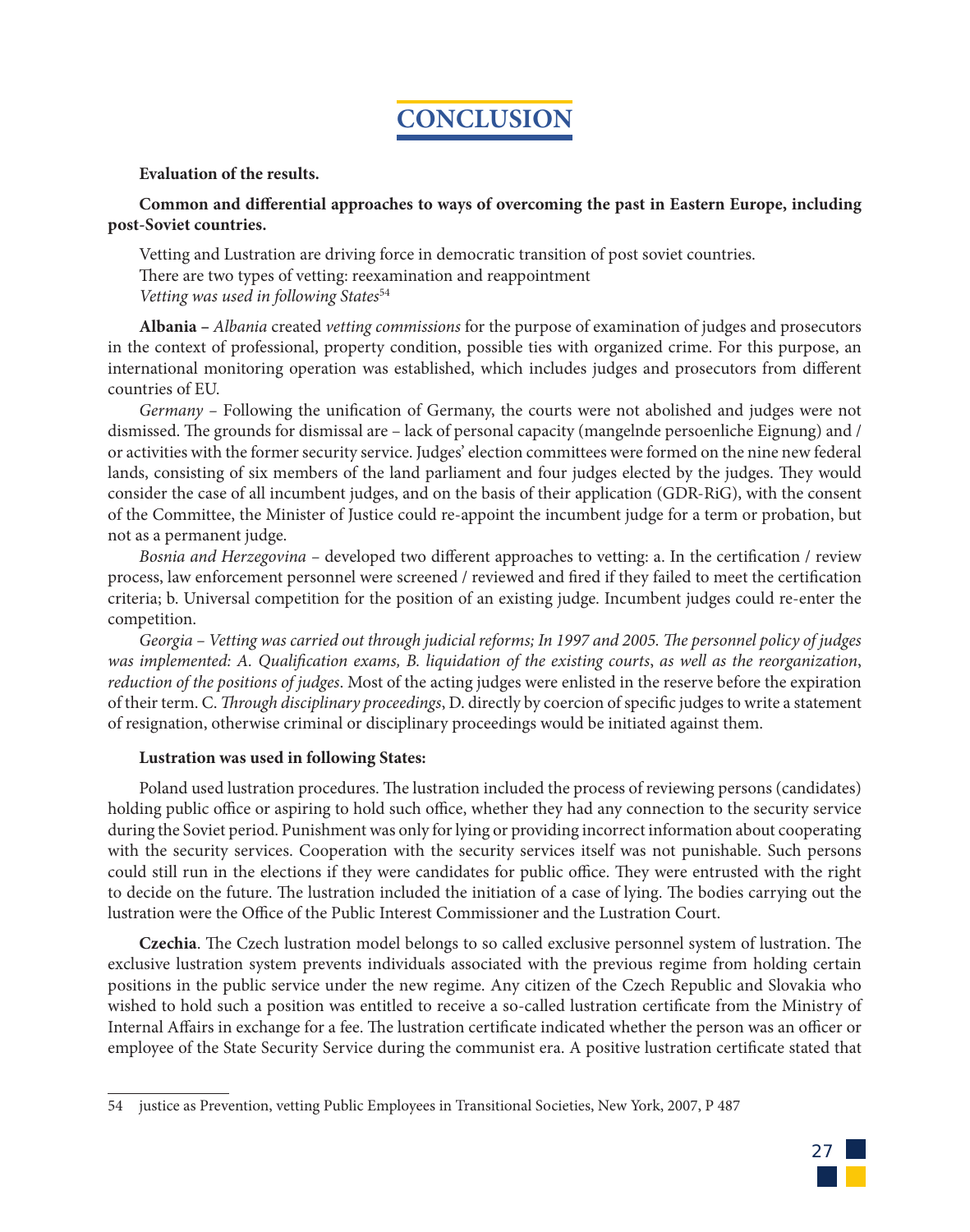# **CONCLUSION**

### **Evaluation of the results.**

# **Common and differential approaches to ways of overcoming the past in Eastern Europe, including post-Soviet countries.**

Vetting and Lustration are driving force in democratic transition of post soviet countries. There are two types of vetting: reexamination and reappointment *Vetting was used in following States*<sup>54</sup>

**Albania –** *Albania* created *vetting commissions* for the purpose of examination of judges and prosecutors in the context of professional, property condition, possible ties with organized crime. For this purpose, an international monitoring operation was established, which includes judges and prosecutors from different countries of EU.

*Germany –* Following the unification of Germany, the courts were not abolished and judges were not dismissed. The grounds for dismissal are – lack of personal capacity (mangelnde persoenliche Eignung) and / or activities with the former security service. Judges' election committees were formed on the nine new federal lands, consisting of six members of the land parliament and four judges elected by the judges. They would consider the case of all incumbent judges, and on the basis of their application (GDR-RiG), with the consent of the Committee, the Minister of Justice could re-appoint the incumbent judge for a term or probation, but not as a permanent judge.

*Bosnia and Herzegovina –* developed two different approaches to vetting: a. In the certification / review process, law enforcement personnel were screened / reviewed and fired if they failed to meet the certification criteria; b. Universal competition for the position of an existing judge. Incumbent judges could re-enter the competition.

*Georgia – Vetting was carried out through judicial reforms; In 1997 and 2005. The personnel policy of judges was implemented: A. Qualification exams, B. liquidation of the existing courts*, *as well as the reorganization*, *reduction of the positions of judges*. Most of the acting judges were enlisted in the reserve before the expiration of their term. C. *Through disciplinary proceedings*, D. directly by coercion of specific judges to write a statement of resignation, otherwise criminal or disciplinary proceedings would be initiated against them.

### **Lustration was used in following States:**

Poland used lustration procedures. The lustration included the process of reviewing persons (candidates) holding public office or aspiring to hold such office, whether they had any connection to the security service during the Soviet period. Punishment was only for lying or providing incorrect information about cooperating with the security services. Cooperation with the security services itself was not punishable. Such persons could still run in the elections if they were candidates for public office. They were entrusted with the right to decide on the future. The lustration included the initiation of a case of lying. The bodies carrying out the lustration were the Office of the Public Interest Commissioner and the Lustration Court.

**Czechia**. The Czech lustration model belongs to so called exclusive personnel system of lustration. The exclusive lustration system prevents individuals associated with the previous regime from holding certain positions in the public service under the new regime. Any citizen of the Czech Republic and Slovakia who wished to hold such a position was entitled to receive a so-called lustration certificate from the Ministry of Internal Affairs in exchange for a fee. The lustration certificate indicated whether the person was an officer or employee of the State Security Service during the communist era. A positive lustration certificate stated that



<sup>54</sup> justice as Prevention, vetting Public Employees in Transitional Societies, New York, 2007, P 487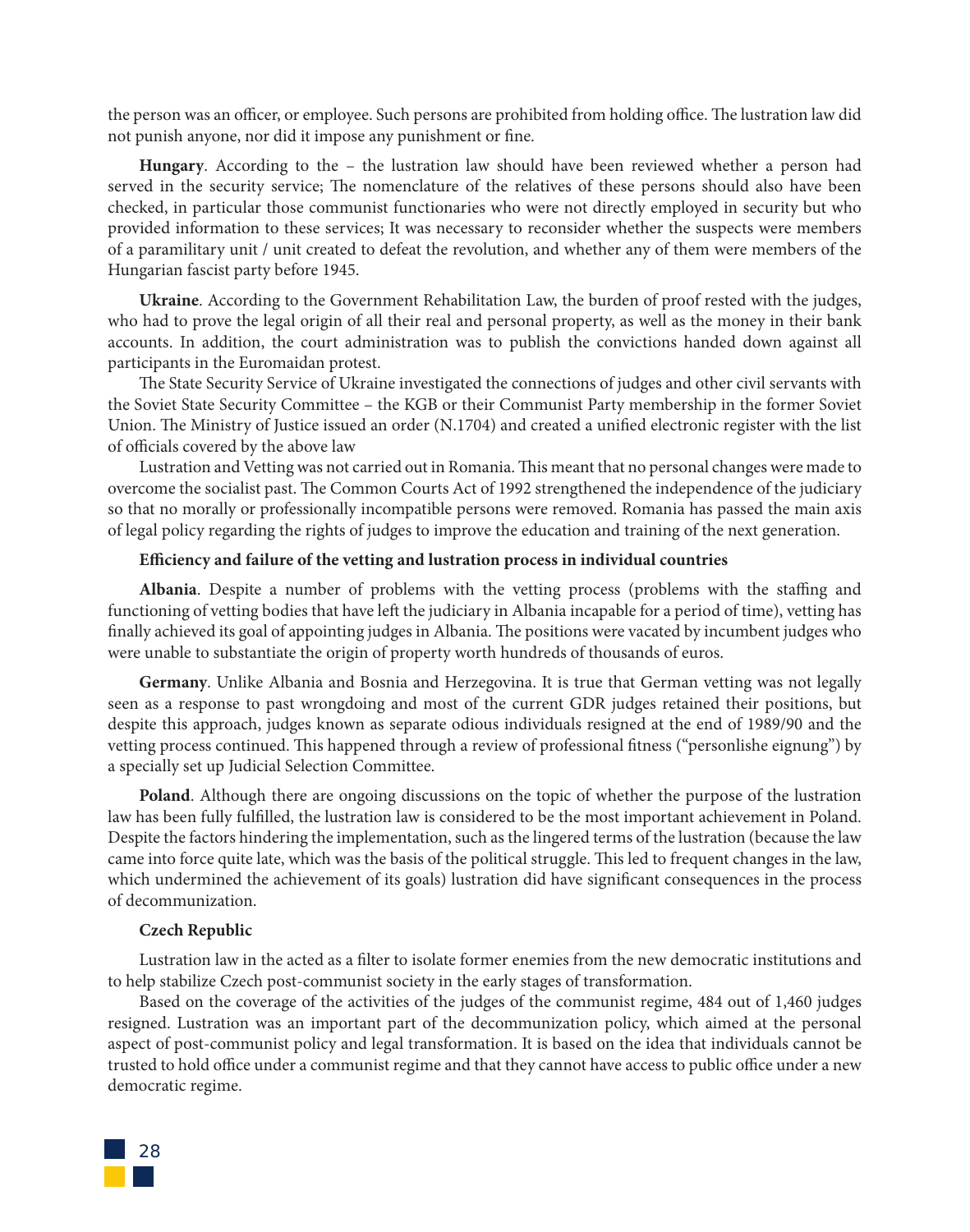the person was an officer, or employee. Such persons are prohibited from holding office. The lustration law did not punish anyone, nor did it impose any punishment or fine.

**Hungary**. According to the – the lustration law should have been reviewed whether a person had served in the security service; The nomenclature of the relatives of these persons should also have been checked, in particular those communist functionaries who were not directly employed in security but who provided information to these services; It was necessary to reconsider whether the suspects were members of a paramilitary unit / unit created to defeat the revolution, and whether any of them were members of the Hungarian fascist party before 1945.

**Ukraine**. According to the Government Rehabilitation Law, the burden of proof rested with the judges, who had to prove the legal origin of all their real and personal property, as well as the money in their bank accounts. In addition, the court administration was to publish the convictions handed down against all participants in the Euromaidan protest.

The State Security Service of Ukraine investigated the connections of judges and other civil servants with the Soviet State Security Committee – the KGB or their Communist Party membership in the former Soviet Union. The Ministry of Justice issued an order (N.1704) and created a unified electronic register with the list of officials covered by the above law

Lustration and Vetting was not carried out in Romania. This meant that no personal changes were made to overcome the socialist past. The Common Courts Act of 1992 strengthened the independence of the judiciary so that no morally or professionally incompatible persons were removed. Romania has passed the main axis of legal policy regarding the rights of judges to improve the education and training of the next generation.

#### **Efficiency and failure of the vetting and lustration process in individual countries**

**Albania**. Despite a number of problems with the vetting process (problems with the staffing and functioning of vetting bodies that have left the judiciary in Albania incapable for a period of time), vetting has finally achieved its goal of appointing judges in Albania. The positions were vacated by incumbent judges who were unable to substantiate the origin of property worth hundreds of thousands of euros.

**Germany**. Unlike Albania and Bosnia and Herzegovina. It is true that German vetting was not legally seen as a response to past wrongdoing and most of the current GDR judges retained their positions, but despite this approach, judges known as separate odious individuals resigned at the end of 1989/90 and the vetting process continued. This happened through a review of professional fitness ("personlishe eignung") by a specially set up Judicial Selection Committee.

**Poland**. Although there are ongoing discussions on the topic of whether the purpose of the lustration law has been fully fulfilled, the lustration law is considered to be the most important achievement in Poland. Despite the factors hindering the implementation, such as the lingered terms of the lustration (because the law came into force quite late, which was the basis of the political struggle. This led to frequent changes in the law, which undermined the achievement of its goals) lustration did have significant consequences in the process of decommunization.

#### **Czech Republic**

Lustration law in the acted as a filter to isolate former enemies from the new democratic institutions and to help stabilize Czech post-communist society in the early stages of transformation.

Based on the coverage of the activities of the judges of the communist regime, 484 out of 1,460 judges resigned. Lustration was an important part of the decommunization policy, which aimed at the personal aspect of post-communist policy and legal transformation. It is based on the idea that individuals cannot be trusted to hold office under a communist regime and that they cannot have access to public office under a new democratic regime.